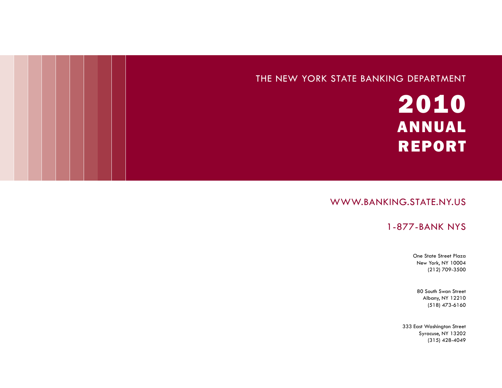# THE NEW YORK STATE BANKING DEPARTMENT

# 2010 ANNUAL REPORT

# WWW.BANKING.STATE.NY.US

## 1-877-BANK NYS

One State Street Plaza New York, NY 10004 (212) 709-3500

80 South Swan Street Albany, NY 12210 (518) 473-6160

333 East Washington Street Syracuse, NY 13202 (315) 428-4049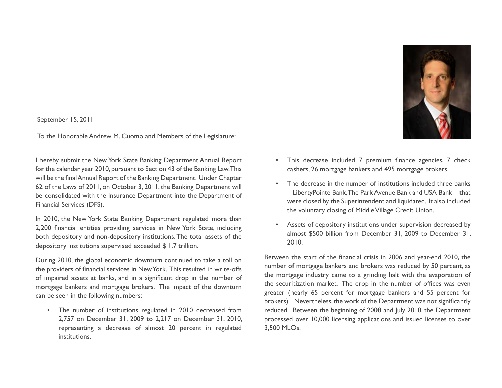

To the Honorable Andrew M. Cuomo and Members of the Legislature:

I hereby submit the New York State Banking Department Annual Report for the calendar year 2010, pursuant to Section 43 of the Banking Law. This will be the final Annual Report of the Banking Department. Under Chapter 62 of the Laws of 2011, on October 3, 2011, the Banking Department will be consolidated with the Insurance Department into the Department of Financial Services (DFS).

In 2010, the New York State Banking Department regulated more than 2,200 financial entities providing services in New York State, including both depository and non-depository institutions. The total assets of the depository institutions supervised exceeded \$ 1.7 trillion.

During 2010, the global economic downturn continued to take a toll on the providers of financial services in New York. This resulted in write-offs of impaired assets at banks, and in a significant drop in the number of mortgage bankers and mortgage brokers. The impact of the downturn can be seen in the following numbers:

• The number of institutions regulated in 2010 decreased from 2,757 on December 31, 2009 to 2,217 on December 31, 2010, representing a decrease of almost 20 percent in regulated institutions.



- This decrease included 7 premium finance agencies, 7 check cashers, 26 mortgage bankers and 495 mortgage brokers.
- The decrease in the number of institutions included three banks – LibertyPointe Bank, The Park Avenue Bank and USA Bank – that were closed by the Superintendent and liquidated. It also included the voluntary closing of Middle Village Credit Union.
- Assets of depository institutions under supervision decreased by almost \$500 billion from December 31, 2009 to December 31, 2010.

Between the start of the financial crisis in 2006 and year-end 2010, the number of mortgage bankers and brokers was reduced by 50 percent, as the mortgage industry came to a grinding halt with the evaporation of the securitization market. The drop in the number of offices was even greater (nearly 65 percent for mortgage bankers and 55 percent for brokers). Nevertheless, the work of the Department was not significantly reduced. Between the beginning of 2008 and July 2010, the Department processed over 10,000 licensing applications and issued licenses to over 3,500 MLOs.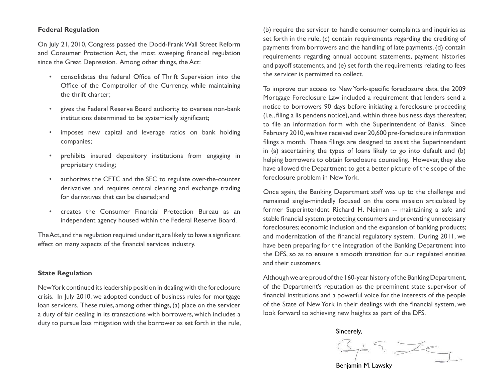## **Federal Regulation**

On July 21, 2010, Congress passed the Dodd-Frank Wall Street Reform and Consumer Protection Act, the most sweeping financial regulation since the Great Depression. Among other things, the Act:

- consolidates the federal Office of Thrift Supervision into the Office of the Comptroller of the Currency, while maintaining the thrift charter;
- gives the Federal Reserve Board authority to oversee non-bank institutions determined to be systemically significant;
- imposes new capital and leverage ratios on bank holding companies;
- prohibits insured depository institutions from engaging in proprietary trading;
- authorizes the CFTC and the SEC to regulate over-the-counter derivatives and requires central clearing and exchange trading for derivatives that can be cleared; and
- creates the Consumer Financial Protection Bureau as an independent agency housed within the Federal Reserve Board.

The Act, and the regulation required under it, are likely to have a significant effect on many aspects of the financial services industry.

#### **State Regulation**

New York continued its leadership position in dealing with the foreclosure crisis. In July 2010, we adopted conduct of business rules for mortgage loan servicers. These rules, among other things, (a) place on the servicer a duty of fair dealing in its transactions with borrowers, which includes a duty to pursue loss mitigation with the borrower as set forth in the rule, (b) require the servicer to handle consumer complaints and inquiries as set forth in the rule, (c) contain requirements regarding the crediting of payments from borrowers and the handling of late payments, (d) contain requirements regarding annual account statements, payment histories and payoff statements, and (e) set forth the requirements relating to fees the servicer is permitted to collect.

To improve our access to New York-specific foreclosure data, the 2009 Mortgage Foreclosure Law included a requirement that lenders send a notice to borrowers 90 days before initiating a foreclosure proceeding (i.e., filing a lis pendens notice), and, within three business days thereafter, to file an information form with the Superintendent of Banks. Since February 2010, we have received over 20,600 pre-foreclosure information filings a month. These filings are designed to assist the Superintendent in (a) ascertaining the types of loans likely to go into default and (b) helping borrowers to obtain foreclosure counseling. However, they also have allowed the Department to get a better picture of the scope of the foreclosure problem in New York.

Once again, the Banking Department staff was up to the challenge and remained single-mindedly focused on the core mission articulated by former Superintendent Richard H. Neiman -- maintaining a safe and stable financial system; protecting consumers and preventing unnecessary foreclosures; economic inclusion and the expansion of banking products; and modernization of the financial regulatory system. During 2011, we have been preparing for the integration of the Banking Department into the DFS, so as to ensure a smooth transition for our regulated entities and their customers.

Although we are proud of the 160-year history of the Banking Department, of the Department's reputation as the preeminent state supervisor of financial institutions and a powerful voice for the interests of the people of the State of New York in their dealings with the financial system, we look forward to achieving new heights as part of the DFS.

Sincerely,

 $S_{i} = S_{i} \cup C_{i}$ 

Benjamin M. Lawsky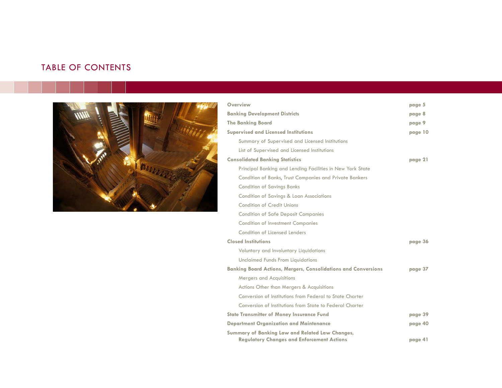# TABLE OF CONTENTS



| <b>Overview</b>                                                                                      | page 5  |
|------------------------------------------------------------------------------------------------------|---------|
| <b>Banking Development Districts</b>                                                                 | page 8  |
| <b>The Banking Board</b>                                                                             | page 9  |
| <b>Supervised and Licensed Institutions</b>                                                          | page 10 |
| Summary of Supervised and Licensed Institutions                                                      |         |
| List of Supervised and Licensed Institutions                                                         |         |
| <b>Consolidated Banking Statistics</b>                                                               | page 21 |
| Principal Banking and Lending Facilities in New York State                                           |         |
| Condition of Banks, Trust Companies and Private Bankers                                              |         |
| <b>Condition of Savings Banks</b>                                                                    |         |
| Condition of Savings & Loan Associations                                                             |         |
| Condition of Credit Unions                                                                           |         |
| <b>Condition of Safe Deposit Companies</b>                                                           |         |
| <b>Condition of Investment Companies</b>                                                             |         |
| Condition of Licensed Lenders                                                                        |         |
| <b>Closed Institutions</b>                                                                           | page 36 |
| Voluntary and Involuntary Liquidations                                                               |         |
| Unclaimed Funds From Liquidations                                                                    |         |
| <b>Banking Board Actions, Mergers, Consolidations and Conversions</b>                                | page 37 |
| Mergers and Acquisitions                                                                             |         |
| Actions Other than Mergers & Acquisitions                                                            |         |
| Conversion of Institutions from Federal to State Charter                                             |         |
| Conversion of Institutions from State to Federal Charter                                             |         |
| <b>State Transmitter of Money Insurance Fund</b>                                                     | page 39 |
| <b>Department Organization and Maintenance</b>                                                       | page 40 |
| Summary of Banking Law and Related Law Changes,<br><b>Regulatory Changes and Enforcement Actions</b> | page 41 |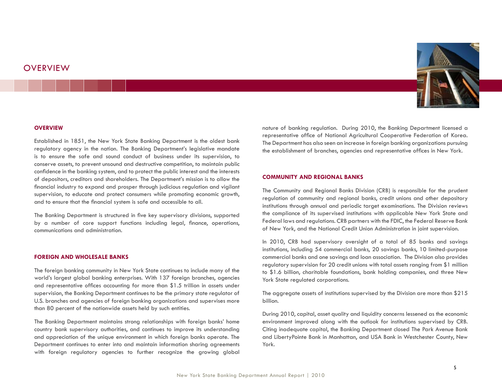## **OVERVIEW**



Established in 1851, the New York State Banking Department is the oldest bank regulatory agency in the nation. The Banking Department's legislative mandate is to ensure the safe and sound conduct of business under its supervision, to conserve assets, to prevent unsound and destructive competition, to maintain public confidence in the banking system, and to protect the public interest and the interests of depositors, creditors and shareholders. The Department's mission is to allow the financial industry to expand and prosper through judicious regulation and vigilant supervision, to educate and protect consumers while promoting economic growth, and to ensure that the financial system is safe and accessible to all.

The Banking Department is structured in five key supervisory divisions, supported by a number of core support functions including legal, finance, operations, communications and administration.

#### **FOREIGN AND WHOLESALE BANKS**

The foreign banking community in New York State continues to include many of the world's largest global banking enterprises. With 137 foreign branches, agencies and representative offices accounting for more than \$1.5 trillion in assets under supervision, the Banking Department continues to be the primary state regulator of U.S. branches and agencies of foreign banking organizations and supervises more than 80 percent of the nationwide assets held by such entities.

The Banking Department maintains strong relationships with foreign banks' home country bank supervisory authorities, and continues to improve its understanding and appreciation of the unique environment in which foreign banks operate. The Department continues to enter into and maintain information sharing agreements with foreign regulatory agencies to further recognize the growing global nature of banking regulation. During 2010, the Banking Department licensed a representative office of National Agricultural Cooperative Federation of Korea. The Department has also seen an increase in foreign banking organizations pursuing the establishment of branches, agencies and representative offices in New York.

#### **COMMUNITY AND REGIONAL BANKS**

The Community and Regional Banks Division (CRB) is responsible for the prudent regulation of community and regional banks, credit unions and other depository institutions through annual and periodic target examinations. The Division reviews the compliance of its supervised institutions with applicable New York State and Federal laws and regulations. CRB partners with the FDIC, the Federal Reserve Bank of New York, and the National Credit Union Administration in joint supervision.

In 2010, CRB had supervisory oversight of a total of 85 banks and savings institutions, including 54 commercial banks, 20 savings banks, 10 limited-purpose commercial banks and one savings and loan association. The Division also provides regulatory supervision for 20 credit unions with total assets ranging from \$1 million to \$1.6 billion, charitable foundations, bank holding companies, and three New York State regulated corporations.

The aggregate assets of institutions supervised by the Division are more than \$215 billion.

During 2010, capital, asset quality and liquidity concerns lessened as the economic environment improved along with the outlook for institutions supervised by CRB. Citing inadequate capital, the Banking Department closed The Park Avenue Bank and LibertyPointe Bank in Manhattan, and USA Bank in Westchester County, New York.

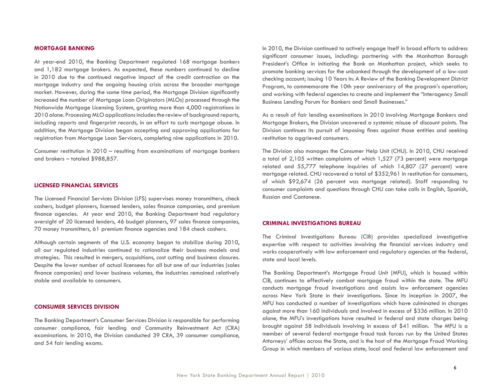#### **MORTGAGE BANKING**

At year-end 2010, the Banking Department regulated 168 mortgage bankers and 1,182 mortgage brokers. As expected, these numbers continued to decline in 2010 due to the continued negative impact of the credit contraction on the mortgage industry and the ongoing housing crisis across the broader mortgage market. However, during the same time period, the Mortgage Division significantly increased the number of Mortgage Loan Originators (MLOs) processed through the Nationwide Mortgage Licensing System, granting more than 4,000 registrations in 2010 alone. Processing MLO applications includes the review of background reports, including reports and fingerprint records, in an effort to curb mortgage abuse. In addition, the Mortgage Division began accepting and approving applications for registration from Mortgage Loan Servicers, completing nine applications in 2010.

Consumer restitution in 2010 – resulting from examinations of mortgage bankers and brokers – totaled \$988,857.

#### **LICENSED FINANCIAL SERVICES**

The Licensed Financial Services Division (LFS) supervises money transmitters, check cashers, budget planners, licensed lenders, sales finance companies, and premium finance agencies. At year end 2010, the Banking Department had regulatory oversight of 20 licensed lenders, 46 budget planners, 97 sales finance companies, 70 money transmitters, 61 premium finance agencies and 184 check cashers.

Although certain segments of the U.S. economy began to stabilize during 2010, all our regulated industries continued to rationalize their business models and strategies. This resulted in mergers, acquisitions, cost cutting and business closures. Despite the lower number of actual licensees for all but one of our industries (sales finance companies) and lower business volumes, the industries remained relatively stable and available to consumers.

#### **CONSUMER SERVICES DIVISION**

The Banking Department's Consumer Services Division is responsible for performing consumer compliance, fair lending and Community Reinvestment Act (CRA) examinations. In 2010, the Division conducted 39 CRA, 39 consumer compliance, and 54 fair lending exams.

In 2010, the Division continued to actively engage itself in broad efforts to address significant consumer issues, including: partnering with the Manhattan Borough President's Office in initiating the Bank on Manhattan project, which seeks to promote banking services for the unbanked through the development of a low-cost checking account; issuing 10 Years In: A Review of the Banking Development District Program, to commemorate the 10th year anniversary of the program's operation; and working with federal agencies to create and implement the "Interagency Small Business Lending Forum for Bankers and Small Businesses."

As a result of fair lending examinations in 2010 involving Mortgage Bankers and Mortgage Brokers, the Division uncovered a systemic misuse of discount points. The Division continues its pursuit of imposing fines against those entities and seeking restitution to aggrieved consumers.

The Division also manages the Consumer Help Unit (CHU). In 2010, CHU received a total of 2,105 written complaints of which 1,527 (73 percent) were mortgage related and 55,777 telephone inquiries of which 14,807 (27 percent) were mortgage related. CHU recovered a total of \$352,961 in restitution for consumers, of which \$92,674 (26 percent was mortgage related). Staff responding to consumer complaints and questions through CHU can take calls in English, Spanish, Russian and Cantonese.

#### **CRIMINAL INVESTIGATIONS BUREAU**

The Criminal Investigations Bureau (CIB) provides specialized investigative expertise with respect to activities involving the financial services industry and works cooperatively with law enforcement and regulatory agencies at the federal, state and local levels.

The Banking Department's Mortgage Fraud Unit (MFU), which is housed within CIB, continues to effectively combat mortgage fraud within the state. The MFU conducts mortgage fraud investigations and assists law enforcement agencies across New York State in their investigations. Since its inception in 2007, the MFU has conducted a number of investigations which have culminated in charges against more than 160 individuals and involved in excess of \$336 million. In 2010 alone, the MFU's investigations have resulted in federal and state charges being brought against 58 individuals involving in excess of \$41 million. The MFU is a member of several federal mortgage fraud task forces run by the United States Attorneys' offices across the State, and is the host of the Mortgage Fraud Working Group in which members of various state, local and federal law enforcement and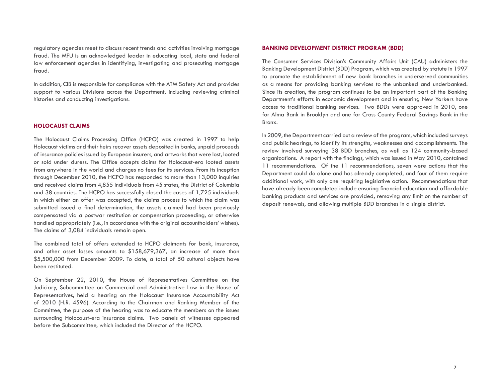regulatory agencies meet to discuss recent trends and activities involving mortgage fraud. The MFU is an acknowledged leader in educating local, state and federal law enforcement agencies in identifying, investigating and prosecuting mortgage fraud.

In addition, CIB is responsible for compliance with the ATM Safety Act and provides support to various Divisions across the Department, including reviewing criminal histories and conducting investigations.

#### **HOLOCAUST CLAIMS**

The Holocaust Claims Processing Office (HCPO) was created in 1997 to help Holocaust victims and their heirs recover assets deposited in banks, unpaid proceeds of insurance policies issued by European insurers, and artworks that were lost, looted or sold under duress. The Office accepts claims for Holocaust-era looted assets from anywhere in the world and charges no fees for its services. From its inception through December 2010, the HCPO has responded to more than 13,000 inquiries and received claims from 4,855 individuals from 45 states, the District of Columbia and 38 countries. The HCPO has successfully closed the cases of 1,725 individuals in which either an offer was accepted, the claims process to which the claim was submitted issued a final determination, the assets claimed had been previously compensated via a postwar restitution or compensation proceeding, or otherwise handled appropriately (i.e., in accordance with the original accountholders' wishes). The claims of 3,084 individuals remain open.

The combined total of offers extended to HCPO claimants for bank, insurance, and other asset losses amounts to \$158,679,367, an increase of more than \$5,500,000 from December 2009. To date, a total of 50 cultural objects have been restituted.

On September 22, 2010, the House of Representatives Committee on the Judiciary, Subcommittee on Commercial and Administrative Law in the House of Representatives, held a hearing on the Holocaust Insurance Accountability Act of 2010 (H.R. 4596). According to the Chairman and Ranking Member of the Committee, the purpose of the hearing was to educate the members on the issues surrounding Holocaust-era insurance claims. Two panels of witnesses appeared before the Subcommittee, which included the Director of the HCPO.

#### **BANKING DEVELOPMENT DISTRICT PROGRAM (BDD)**

The Consumer Services Division's Community Affairs Unit (CAU) administers the Banking Development District (BDD) Program, which was created by statute in 1997 to promote the establishment of new bank branches in underserved communities as a means for providing banking services to the unbanked and underbanked. Since its creation, the program continues to be an important part of the Banking Department's efforts in economic development and in ensuring New Yorkers have access to traditional banking services. Two BDDs were approved in 2010, one for Alma Bank in Brooklyn and one for Cross County Federal Savings Bank in the Bronx.

In 2009, the Department carried out a review of the program, which included surveys and public hearings, to identify its strengths, weaknesses and accomplishments. The review involved surveying 38 BDD branches, as well as 124 community-based organizations. A report with the findings, which was issued in May 2010, contained 11 recommendations. Of the 11 recommendations, seven were actions that the Department could do alone and has already completed, and four of them require additional work, with only one requiring legislative action. Recommendations that have already been completed include ensuring financial education and affordable banking products and services are provided, removing any limit on the number of deposit renewals, and allowing multiple BDD branches in a single district.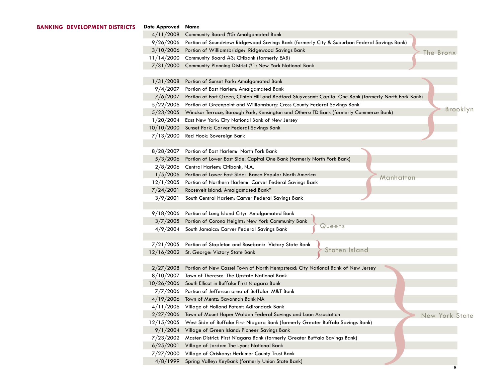| <b>ISTRICTS</b> | <b>Date Approved</b> | Name                                                                                                    |
|-----------------|----------------------|---------------------------------------------------------------------------------------------------------|
|                 | 4/11/2008            | Community Board #5: Amalgamated Bank                                                                    |
|                 | 9/26/2006            | Portion of Soundview: Ridgewood Savings Bank (formerly City & Suburban Federal Savings Bank)            |
|                 | 3/10/2006            | Portion of Williamsbridge: Ridgewood Savings Bank<br>The Bronx                                          |
|                 | 11/14/2000           | Community Board #3: Citibank (formerly EAB)                                                             |
|                 | 7/31/2000            | Community Planning District #1: New York National Bank                                                  |
|                 |                      |                                                                                                         |
|                 | 1/31/2008            | Portion of Sunset Park: Amalgamated Bank                                                                |
|                 | 9/4/2007             | Portion of East Harlem: Amalgamated Bank                                                                |
|                 | 7/6/2007             | Portion of Fort Green, Clinton Hill and Bedford Stuyvesant: Capital One Bank (formerly North Fork Bank) |
|                 | 5/22/2006            | Portion of Greenpoint and Williamsburg: Cross County Federal Savings Bank                               |
|                 | 5/23/2005            | Brooklyn<br>Windsor Terrace, Borough Park, Kensington and Others: TD Bank (formerly Commerce Bank)      |
|                 | 1/20/2004            | East New York: City National Bank of New Jersey                                                         |
|                 | 10/10/2000           | Sunset Park: Carver Federal Savings Bank                                                                |
|                 | 7/13/2000            | Red Hook: Sovereign Bank                                                                                |
|                 |                      |                                                                                                         |
|                 | 8/28/2007            | Portion of East Harlem: North Fork Bank                                                                 |
|                 | 5/3/2006             | Portion of Lower East Side: Capital One Bank (formerly North Fork Bank)                                 |
|                 | 2/8/2006             | Central Harlem: Citibank, N.A.                                                                          |
|                 | 1/5/2006             | Portion of Lower East Side: Banco Popular North America<br>Manhattan                                    |
|                 | 12/1/2005            | Portion of Northern Harlem: Carver Federal Savings Bank                                                 |
|                 | 7/24/2001            | Roosevelt Island: Amalgamated Bank*                                                                     |
|                 | 3/9/2001             | South Central Harlem: Carver Federal Savings Bank                                                       |
|                 |                      |                                                                                                         |
|                 |                      | 9/18/2006 Portion of Long Island City: Amalgamated Bank                                                 |
|                 |                      | 3/7/2005 Portion of Corona Heights: New York Community Bank                                             |
|                 | 4/9/2004             | Queens<br>South Jamaica: Carver Federal Savings Bank                                                    |
|                 |                      |                                                                                                         |
|                 |                      | 7/21/2005 Portion of Stapleton and Rosebank: Victory State Bank                                         |
|                 |                      | <b>Staten Island</b><br>12/16/2002 St. George: Victory State Bank                                       |
|                 |                      |                                                                                                         |
|                 | 2/27/2008            | Portion of New Cassel Town of North Hempstead: City National Bank of New Jersey                         |
|                 |                      | 8/10/2007 Town of Theresa: The Upstate National Bank                                                    |
|                 |                      | 10/26/2006 South Ellicot in Buffalo: First Niagara Bank                                                 |
|                 | 7/7/2006             | Portion of Jefferson area of Buffalo: M&T Bank                                                          |
|                 |                      | 4/19/2006 Town of Mentz: Savannah Bank NA                                                               |
|                 |                      | 4/11/2006 Village of Holland Patent: Adirondack Bank                                                    |
|                 | 2/27/2006            | Town of Mount Hope: Walden Federal Savings and Loan Association<br><b>New York State</b>                |
|                 | 12/15/2005           | West Side of Buffalo: First Niagara Bank (formerly Greater Buffalo Savings Bank)                        |
|                 | 9/1/2004             | Village of Green Island: Pioneer Savings Bank                                                           |
|                 | 7/23/2002            | Masten District: First Niagara Bank (formerly Greater Buffalo Savings Bank)                             |
|                 | 6/25/2001            | Village of Jordan: The Lyons National Bank                                                              |
|                 | 7/27/2000            | Village of Oriskany: Herkimer County Trust Bank                                                         |
|                 | 4/8/1999             | Spring Valley: KeyBank (formerly Union State Bank)                                                      |
|                 |                      |                                                                                                         |

#### **BANKING DEVELOPMENT DI**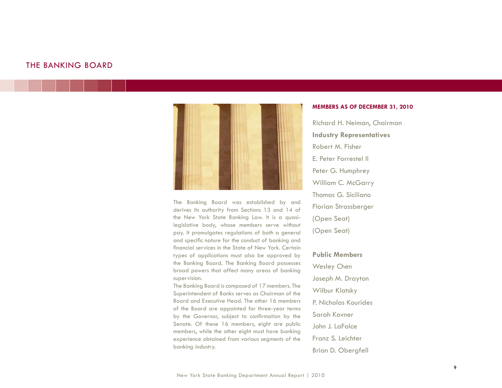## THE BANKING BOARD



The Banking Board was established by and derives its authority from Sections 13 and 14 of the New York State Banking Law. It is a quasilegislative body, whose members serve without pay. It promulgates regulations of both a general and specific nature for the conduct of banking and financial services in the State of New York. Certain types of applications must also be approved by the Banking Board. The Banking Board possesses broad powers that affect many areas of banking supervision.

The Banking Board is composed of 17 members. The Superintendent of Banks serves as Chairman of the Board and Executive Head. The other 16 members of the Board are appointed for three-year terms by the Governor, subject to confirmation by the Senate. Of these 16 members, eight are public members, while the other eight must have banking experience obtained from various segments of the banking industry.

#### **MEMBERS AS OF DECEMBER 31, 2010**

Richard H. Neiman, Chairman **Industry Representatives** Robert M. Fisher E. Peter Forrestel II Peter G. Humphrey William C. McGarry Thomas G. Siciliano Florian Strassberger (Open Seat) (Open Seat)

**Public Members** Wesley Chen Joseph M. Drayton Wilbur Klatsky P. Nicholas Kourides Sarah Kovner John J. LaFalce Franz S. Leichter Brian D. Obergfell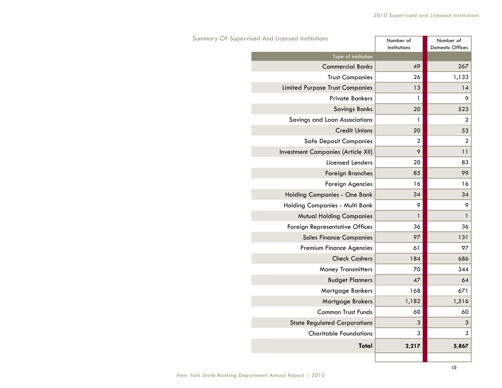| Summary Of Supervised And Licensed Institutions | Number of<br>Institutions | Number of<br>Domestic Offices |
|-------------------------------------------------|---------------------------|-------------------------------|
| Type of Institution                             |                           |                               |
| <b>Commercial Banks</b>                         | 49                        | 267                           |
| <b>Trust Companies</b>                          | 26                        | 1,133                         |
| <b>Limited Purpose Trust Companies</b>          | 13                        | 14                            |
| <b>Private Bankers</b>                          | $\mathbf{1}$              | 9                             |
| <b>Savings Banks</b>                            | 20                        | 523                           |
| Savings and Loan Associations                   | 1                         | $\overline{2}$                |
| <b>Credit Unions</b>                            | 20                        | 53                            |
| <b>Safe Deposit Companies</b>                   | $\boldsymbol{2}$          | $\boldsymbol{2}$              |
| Investment Companies (Article XII)              | 9                         | 11                            |
| Licensed Lenders                                | 20                        | 83                            |
| <b>Foreign Branches</b>                         | 85                        | 99                            |
| Foreign Agencies                                | 16                        | 16                            |
| Holding Companies - One Bank                    | 34                        | 34                            |
| Holding Companies - Multi Bank                  | 9                         | 9                             |
| <b>Mutual Holding Companies</b>                 | 1                         | 1                             |
| Foreign Representative Offices                  | 36                        | 36                            |
| <b>Sales Finance Companies</b>                  | 97                        | 131                           |
| <b>Premium Finance Agencies</b>                 | 61                        | 97                            |
| <b>Check Cashers</b>                            | 184                       | 686                           |
| <b>Money Transmitters</b>                       | 70                        | 344                           |
| <b>Budget Planners</b>                          | 47                        | 64                            |
| Mortgage Bankers                                | 168                       | 671                           |
| Mortgage Brokers                                | 1,182                     | 1,516                         |
| <b>Common Trust Funds</b>                       | 60                        | 60                            |
| <b>State Regulated Corporations</b>             | 3                         | $\ensuremath{\mathsf{3}}$     |
| <b>Charitable Foundations</b>                   | 3                         | 3                             |
| <b>Total</b>                                    | 2,217                     | 5,867                         |
|                                                 |                           |                               |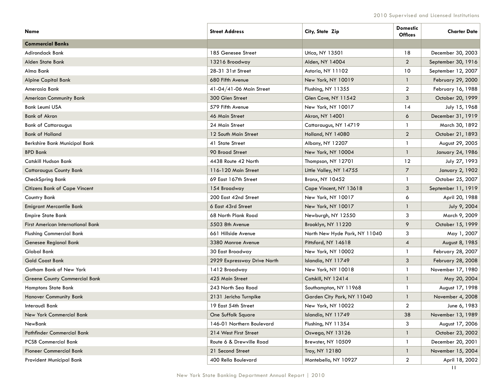| Name                                     | <b>Street Address</b>       | City, State Zip               | <b>Domestic</b><br><b>Offices</b> | <b>Charter Date</b> |
|------------------------------------------|-----------------------------|-------------------------------|-----------------------------------|---------------------|
| <b>Commercial Banks</b>                  |                             |                               |                                   |                     |
| <b>Adirondack Bank</b>                   | 185 Genesee Street          | Utica, NY 13501               | 18                                | December 30, 2003   |
| Alden State Bank                         | 13216 Broadway              | Alden, NY 14004               | $\overline{2}$                    | September 30, 1916  |
| Alma Bank                                | 28-31 31st Street           | Astoria, NY 11102             | 10                                | September 12, 2007  |
| <b>Alpine Capital Bank</b>               | 680 Fifth Avenue            | New York, NY 10019            | $\mathbf{1}$                      | February 29, 2000   |
| Amerasia Bank                            | 41-04/41-06 Main Street     | Flushing, NY 11355            | $\overline{2}$                    | February 16, 1988   |
| <b>American Community Bank</b>           | 300 Glen Street             | Glen Cove, NY 11542           | 3                                 | October 20, 1999    |
| <b>Bank Leumi USA</b>                    | 579 Fifth Avenue            | New York, NY 10017            | 14                                | July 15, 1968       |
| <b>Bank of Akron</b>                     | 46 Main Street              | Akron, NY 14001               | 6                                 | December 31, 1919   |
| <b>Bank of Cattaraugus</b>               | 24 Main Street              | Cattaraugus, NY 14719         | $\mathbf{1}$                      | March 30, 1892      |
| <b>Bank of Holland</b>                   | 12 South Main Street        | Holland, NY 14080             | $\overline{2}$                    | October 21, 1893    |
| Berkshire Bank Municipal Bank            | 41 State Street             | Albany, NY 12207              | -1                                | August 29, 2005     |
| <b>BPD Bank</b>                          | 90 Broad Street             | New York, NY 10004            | $\mathbf{1}$                      | January 24, 1986    |
| Catskill Hudson Bank                     | 4438 Route 42 North         | Thompson, NY 12701            | 12                                | July 27, 1993       |
| <b>Cattaraugus County Bank</b>           | 116-120 Main Street         | Little Valley, NY 14755       | 7                                 | January 2, 1902     |
| CheckSpring Bank                         | 69 East 167th Street        | Bronx, NY 10452               | -1                                | October 25, 2007    |
| <b>Citizens Bank of Cape Vincent</b>     | 154 Broadway                | Cape Vincent, NY 13618        | 3                                 | September 11, 1919  |
| Country Bank                             | 200 East 42nd Street        | New York, NY 10017            | 6                                 | April 20, 1988      |
| <b>Emigrant Mercantile Bank</b>          | 6 East 43rd Street          | New York, NY 10017            | $\mathbf{1}$                      | July 9, 2004        |
| <b>Empire State Bank</b>                 | 68 North Plank Road         | Newburgh, NY 12550            | 3                                 | March 9, 2009       |
| <b>First American International Bank</b> | 5503 8th Avenue             | Brooklyn, NY 11220            | 9                                 | October 15, 1999    |
| <b>Flushing Commercial Bank</b>          | 661 Hillside Avenue         | North New Hyde Park, NY 11040 | 3                                 | May 1, 2007         |
| Genesee Regional Bank                    | 3380 Monroe Avenue          | Pittsford, NY 14618           | $\overline{A}$                    | August 8, 1985      |
| <b>Global Bank</b>                       | 30 East Broadway            | New York, NY 10002            | -1                                | February 28, 2007   |
| <b>Gold Coast Bank</b>                   | 2929 Expressway Drive North | Islandia, NY 11749            | 3                                 | February 28, 2008   |
| Gotham Bank of New York                  | 1412 Broadway               | New York, NY 10018            | $\mathbf{1}$                      | November 17, 1980   |
| <b>Greene County Commercial Bank</b>     | 425 Main Street             | Catskill, NY 12414            | $\mathbf{1}$                      | May 20, 2004        |
| <b>Hamptons State Bank</b>               | 243 North Sea Road          | Southampton, NY 11968         | - 1                               | August 17, 1998     |
| <b>Hanover Community Bank</b>            | 2131 Jericho Turnpike       | Garden City Park, NY 11040    | $\mathbf{1}$                      | November 4, 2008    |
| Interaudi Bank                           | 19 East 54th Street         | New York, NY 10022            | $\overline{2}$                    | June 6, 1983        |
| New York Commercial Bank                 | One Suffolk Square          | Islandia, NY 11749            | 38                                | November 13, 1989   |
| NewBank                                  | 146-01 Northern Boulevard   | Flushing, NY 11354            | 3                                 | August 17, 2006     |
| Pathfinder Commercial Bank               | 214 West First Street       | Oswego, NY 13126              | $\mathbf{1}$                      | October 23, 2002    |
| <b>PCSB Commercial Bank</b>              | Route 6 & Drewville Road    | Brewster, NY 10509            | -1                                | December 20, 2001   |
| <b>Pioneer Commercial Bank</b>           | 21 Second Street            | Troy, NY 12180                | $\mathbf{1}$                      | November 15, 2004   |
| Provident Municipal Bank                 | 400 Rella Boulevard         | Montebello, NY 10927          | $\overline{2}$                    | April 18, 2002      |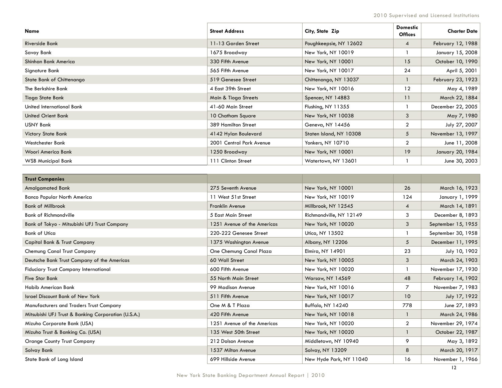| Name                      | <b>Street Address</b>    | City, State Zip         | <b>Domestic</b><br><b>Offices</b> | <b>Charter Date</b> |
|---------------------------|--------------------------|-------------------------|-----------------------------------|---------------------|
| Riverside Bank            | 11-13 Garden Street      | Poughkeepsie, NY 12602  | 4                                 | February 12, 1988   |
| Savoy Bank                | 1675 Broadway            | New York, NY 10019      |                                   | January 15, 2008    |
| Shinhan Bank America      | 330 Fifth Avenue         | New York, NY 10001      | 15                                | October 10, 1990    |
| Signature Bank            | 565 Fifth Avenue         | New York, NY 10017      | 24                                | April 5, 2001       |
| State Bank of Chittenango | 519 Genesee Street       | Chittenango, NY 13037   |                                   | February 23, 1923   |
| The Berkshire Bank        | 4 East 39th Street       | New York, NY 10016      | 12                                | May 4, 1989         |
| Tioga State Bank          | Main & Tioga Streets     | Spencer, NY 14883       | 11                                | March 22, 1884      |
| United International Bank | 41-60 Main Street        | Flushing, NY 11355      |                                   | December 22, 2005   |
| <b>United Orient Bank</b> | 10 Chatham Square        | New York, NY 10038      | 3                                 | May 7, 1980         |
| <b>USNY Bank</b>          | 389 Hamilton Street      | Geneva, NY 14456        | $\overline{2}$                    | July 27, 2007       |
| <b>Victory State Bank</b> | 4142 Hylan Boulevard     | Staten Island, NY 10308 | 5                                 | November 13, 1997   |
| Westchester Bank          | 2001 Central Park Avenue | Yonkers, NY 10710       | $\overline{2}$                    | June 11, 2008       |
| Woori America Bank        | 1250 Broadway            | New York, NY 10001      | 19                                | January 20, 1984    |
| <b>WSB Municipal Bank</b> | 111 Clinton Street       | Watertown, NY 13601     |                                   | June 30, 2003       |

| <b>Trust Companies</b>                              |                             |                         |                |                    |
|-----------------------------------------------------|-----------------------------|-------------------------|----------------|--------------------|
| <b>Amalgamated Bank</b>                             | 275 Seventh Avenue          | New York, NY 10001      | 26             | March 16, 1923     |
| <b>Banco Popular North America</b>                  | 11 West 51st Street         | New York, NY 10019      | 124            | January 1, 1999    |
| <b>Bank of Millbrook</b>                            | Franklin Avenue             | Millbrook, NY 12545     | 4              | March 14, 1891     |
| <b>Bank of Richmondville</b>                        | 5 East Main Street          | Richmondville, NY 12149 | 3              | December 8, 1893   |
| Bank of Tokyo - Mitsubishi UFJ Trust Company        | 1251 Avenue of the Americas | New York, NY 10020      | 3              | September 15, 1955 |
| <b>Bank of Utica</b>                                | 220-222 Genesee Street      | Utica, NY 13502         |                | September 30, 1958 |
| <b>Capital Bank &amp; Trust Company</b>             | 1375 Washington Avenue      | Albany, NY 12206        | 5              | December 11, 1995  |
| Chemung Canal Trust Company                         | One Chemung Canal Plaza     | Elmira, NY 14901        | 23             | July 10, 1902      |
| Deutsche Bank Trust Company of the Americas         | 60 Wall Street              | New York, NY 10005      | 3              | March 24, 1903     |
| <b>Fiduciary Trust Company International</b>        | 600 Fifth Avenue            | New York, NY 10020      |                | November 17, 1930  |
| <b>Five Star Bank</b>                               | 55 North Main Street        | Warsaw, NY 14569        | 48             | February 14, 1902  |
| Habib American Bank                                 | 99 Madison Avenue           | New York, NY 10016      | $\overline{7}$ | November 7, 1983   |
| <b>Israel Discount Bank of New York</b>             | 511 Fifth Avenue            | New York, NY 10017      | 10             | July 17, 1922      |
| Manufacturers and Traders Trust Company             | One M & T Plaza             | Buffalo, NY 14240       | 778            | June 27, 1893      |
| Mitsubishi UFJ Trust & Banking Corporation (U.S.A.) | 420 Fifth Avenue            | New York, NY 10018      |                | March 24, 1986     |
| Mizuho Corporate Bank (USA)                         | 1251 Avenue of the Americas | New York, NY 10020      | $\overline{2}$ | November 29, 1974  |
| Mizuho Trust & Banking Co. (USA)                    | 135 West 50th Street        | New York, NY 10020      |                | October 22, 1987   |
| <b>Orange County Trust Company</b>                  | 212 Dolson Avenue           | Middletown, NY 10940    | 9              | May 3, 1892        |
| Solvay Bank                                         | 1537 Milton Avenue          | Solvay, NY 13209        | 8              | March 20, 1917     |
| State Bank of Long Island                           | 699 Hillside Avenue         | New Hyde Park, NY 11040 | 16             | November 1, 1966   |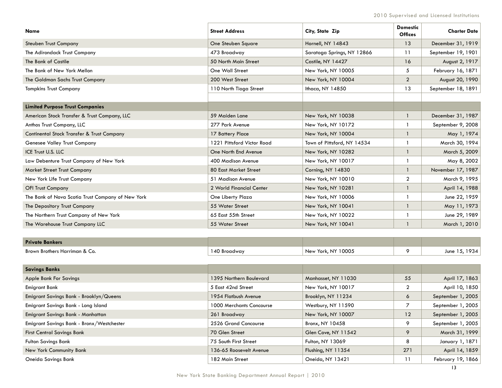| Name                                                  | <b>Street Address</b>      | City, State Zip             | <b>Domestic</b><br><b>Offices</b> | <b>Charter Date</b> |
|-------------------------------------------------------|----------------------------|-----------------------------|-----------------------------------|---------------------|
| <b>Steuben Trust Company</b>                          | One Steuben Square         | Hornell, NY 14843           | 13                                | December 31, 1919   |
| The Adirondack Trust Company                          | 473 Broadway               | Saratoga Springs, NY 12866  | 11                                | September 19, 1901  |
| The Bank of Castile                                   | 50 North Main Street       | Castile, NY 14427           | 16                                | August 2, 1917      |
| The Bank of New York Mellon                           | One Wall Street            | New York, NY 10005          | 5                                 | February 16, 1871   |
| The Goldman Sachs Trust Company                       | 200 West Street            | New York, NY 10004          | $\overline{\mathbf{c}}$           | August 20, 1990     |
| <b>Tompkins Trust Company</b>                         | 110 North Tioga Street     | Ithaca, NY 14850            | 13                                | September 18, 1891  |
|                                                       |                            |                             |                                   |                     |
| <b>Limited Purpose Trust Companies</b>                |                            |                             |                                   |                     |
| American Stock Transfer & Trust Company, LLC          | 59 Maiden Lane             | New York, NY 10038          | 1                                 | December 31, 1987   |
| Anthos Trust Company, LLC                             | 277 Park Avenue            | New York, NY 10172          | 1                                 | September 9, 2008   |
| <b>Continental Stock Transfer &amp; Trust Company</b> | 17 Battery Place           | New York, NY 10004          | 1                                 | May 1, 1974         |
| Genesee Valley Trust Company                          | 1221 Pittsford Victor Road | Town of Pittsford, NY 14534 | 1                                 | March 30, 1994      |
| ICE Trust U.S. LLC                                    | One North End Avenue       | New York, NY 10282          | 1                                 | March 5, 2009       |
| Law Debenture Trust Company of New York               | 400 Madison Avenue         | New York, NY 10017          | 1                                 | May 8, 2002         |
| <b>Market Street Trust Company</b>                    | 80 East Market Street      | Corning, NY 14830           | 1                                 | November 17, 1987   |
| New York Life Trust Company                           | 51 Madison Avenue          | New York, NY 10010          | 2                                 | March 9, 1995       |
| <b>OFI Trust Company</b>                              | 2 World Financial Center   | New York, NY 10281          | 1                                 | April 14, 1988      |
| The Bank of Nova Scotia Trust Company of New York     | One Liberty Plaza          | New York, NY 10006          | 1                                 | June 22, 1959       |
| The Depository Trust Company                          | 55 Water Street            | New York, NY 10041          | $\mathbf{1}$                      | May 11, 1973        |
| The Northern Trust Company of New York                | 65 East 55th Street        | New York, NY 10022          | 1                                 | June 29, 1989       |
| The Warehouse Trust Company LLC                       | 55 Water Street            | New York, NY 10041          | $\mathbf{1}$                      | March 1, 2010       |
|                                                       |                            |                             |                                   |                     |
| <b>Private Bankers</b>                                |                            |                             |                                   |                     |
| Brown Brothers Harriman & Co.                         | 140 Broadway               | New York, NY 10005          | 9                                 | June 15, 1934       |
| <b>Savings Banks</b>                                  |                            |                             |                                   |                     |
| <b>Apple Bank For Savings</b>                         | 1395 Northern Boulevard    | Manhasset, NY 11030         | 55                                | April 17, 1863      |
| <b>Emigrant Bank</b>                                  | 5 East 42nd Street         | New York, NY 10017          | $\overline{2}$                    | April 10, 1850      |
| Emigrant Savings Bank - Brooklyn/Queens               | 1954 Flatbush Avenue       | Brooklyn, NY 11234          | 6                                 | September 1, 2005   |
| Emigrant Savings Bank - Long Island                   | 1000 Merchants Concourse   | Westbury, NY 11590          | 7                                 | September 1, 2005   |
| Emigrant Savings Bank - Manhattan                     | 261 Broadway               | New York, NY 10007          | 12                                | September 1, 2005   |
| Emigrant Savings Bank - Bronx/Westchester             | 2526 Grand Concourse       | Bronx, NY 10458             | 9                                 | September 1, 2005   |
| <b>First Central Savings Bank</b>                     | 70 Glen Street             | Glen Cove, NY 11542         | 9                                 | March 31, 1999      |
| <b>Fulton Savings Bank</b>                            | 75 South First Street      | Fulton, NY 13069            | 8                                 | January 1, 1871     |
| New York Community Bank                               | 136-65 Roosevelt Avenue    | Flushing, NY 11354          | 271                               | April 14, 1859      |
| Oneida Savings Bank                                   | 182 Main Street            | Oneida, NY 13421            | 11                                | February 19, 1866   |
|                                                       |                            |                             |                                   |                     |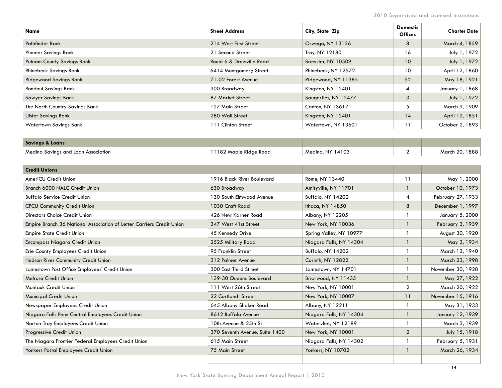| Name                              | <b>Street Address</b>    | City, State Zip      | <b>Domestic</b><br><b>Offices</b> | <b>Charter Date</b> |
|-----------------------------------|--------------------------|----------------------|-----------------------------------|---------------------|
| Pathfinder Bank                   | 214 West First Street    | Oswego, NY 13126     | 8                                 | March 4, 1859       |
| <b>Pioneer Savings Bank</b>       | 21 Second Street         | Troy, NY 12180       | 16                                | July 1, 1972        |
| <b>Putnam County Savings Bank</b> | Route 6 & Drewville Road | Brewster, NY 10509   | 10                                | July 1, 1972        |
| <b>Rhinebeck Savings Bank</b>     | 6414 Montgomery Street   | Rhinebeck, NY 12572  | 10                                | April 12, 1860      |
| <b>Ridgewood Savings Bank</b>     | 71-02 Forest Avenue      | Ridgewood, NY 11385  | 52                                | May 18, 1921        |
| <b>Rondout Savings Bank</b>       | 300 Broadway             | Kingston, NY 12401   | 4                                 | January 1, 1868     |
| <b>Sawyer Savings Bank</b>        | 87 Market Street         | Saugerties, NY 12477 | 3                                 | July 1, 1972        |
| The North Country Savings Bank    | 127 Main Street          | Canton, NY 13617     | 5                                 | March 9, 1909       |
| <b>Ulster Savings Bank</b>        | 280 Wall Street          | Kingston, NY 12401   | 14                                | April 12, 1851      |
| <b>Watertown Savings Bank</b>     | 111 Clinton Street       | Watertown, NY 13601  | 11                                | October 2, 1893     |

| <b>Savings &amp; Loans</b>          |                        |                  |                |
|-------------------------------------|------------------------|------------------|----------------|
| Medina Savings and Loan Association | 11182 Maple Ridge Road | Medina, NY 14103 | March 20, 1888 |

| <b>Credit Unions</b>                                                  |                                |                         |                |                   |
|-----------------------------------------------------------------------|--------------------------------|-------------------------|----------------|-------------------|
| <b>AmeriCU Credit Union</b>                                           | 1916 Black River Boulevard     | Rome, NY 13440          | 11             | May 1, 2000       |
| Branch 6000 NALC Credit Union                                         | 630 Broadway                   | Amityville, NY 11701    |                | October 10, 1973  |
| <b>Buffalo Service Credit Union</b>                                   | 130 South Elmwood Avenue       | Buffalo, NY 14202       | 4              | February 27, 1933 |
| <b>CFCU Community Credit Union</b>                                    | 1030 Craft Road                | Ithaca, NY 14850        | 8              | December 1, 1997  |
| Directors Choice Credit Union                                         | 426 New Karner Road            | Albany, NY 12205        |                | January 5, 2000   |
| Empire Branch 36 National Association of Letter Carriers Credit Union | 347 West 41st Street           | New York, NY 10036      |                | February 3, 1939  |
| <b>Empire State Credit Union</b>                                      | 45 Kennedy Drive               | Spring Valley, NY 10977 |                | August 30, 1920   |
| <b>Encompass Niagara Credit Union</b>                                 | 2525 Military Road             | Niagara Falls, NY 14304 |                | May 3, 1934       |
| Erie County Employees Credit Union                                    | 95 Franklin Street             | Buffalo, NY 14202       |                | March 13, 1940    |
| Hudson River Community Credit Union                                   | 312 Palmer Avenue              | Corinth, NY 12822       |                | March 23, 1998    |
| Jamestown Post Office Employees' Credit Union                         | 300 East Third Street          | Jamestown, NY 14701     |                | November 30, 1928 |
| <b>Melrose Credit Union</b>                                           | 139-30 Queens Boulevard        | Briarwood, NY 11435     |                | May 27, 1922      |
| Montauk Credit Union                                                  | 111 West 26th Street           | New York, NY 10001      | $\overline{2}$ | March 20, 1922    |
| <b>Municipal Credit Union</b>                                         | 22 Cortlandt Street            | New York, NY 10007      | 11             | November 15, 1916 |
| Newspaper Employees Credit Union                                      | 645 Albany Shaker Road         | Albany, NY 12211        |                | May 31, 1933      |
| Niagara Falls Penn Central Employees Credit Union                     | 8612 Buffalo Avenue            | Niagara Falls, NY 14304 |                | January 12, 1939  |
| Norton-Troy Employees Credit Union                                    | 10th Avenue & 25th St          | Watervliet, NY 12189    |                | March 3, 1939     |
| <b>Progressive Credit Union</b>                                       | 370 Seventh Avenue, Suite 1400 | New York, NY 10001      | $\overline{2}$ | July 15, 1918     |
| The Niagara Frontier Federal Employees Credit Union                   | 615 Main Street                | Niagara Falls, NY 14302 |                | February 5, 1931  |
| Yonkers Postal Employees Credit Union                                 | 75 Main Street                 | Yonkers, NY 10702       |                | March 26, 1934    |
|                                                                       |                                |                         |                |                   |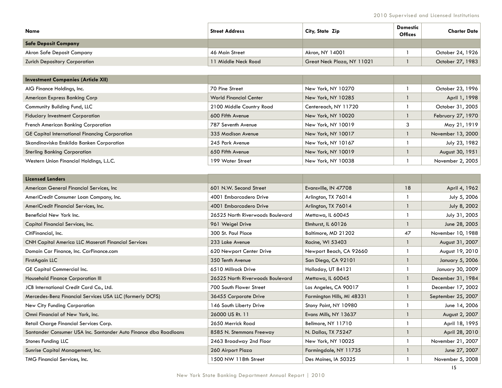2010 Supervised and Licensed Institutions

| Name                                 | <b>Street Address</b> | City, State Zip            | <b>Domestic</b><br><b>Offices</b> | <b>Charter Date</b> |
|--------------------------------------|-----------------------|----------------------------|-----------------------------------|---------------------|
| <b>Safe Deposit Company</b>          |                       |                            |                                   |                     |
| Akron Safe Deposit Company           | 46 Main Street        | Akron, NY 14001            |                                   | October 24, 1926    |
| <b>Zurich Depository Corporation</b> | 11 Middle Neck Road   | Great Neck Plaza, NY 11021 |                                   | October 27, 1983    |

| <b>Investment Companies (Article XII)</b>             |                               |                      |                   |
|-------------------------------------------------------|-------------------------------|----------------------|-------------------|
| AIG Finance Holdings, Inc.                            | 70 Pine Street                | New York, NY 10270   | October 23, 1996  |
| American Express Banking Corp                         | <b>World Financial Center</b> | New York, NY 10285   | April 1, 1998     |
| Community Building Fund, LLC                          | 2100 Middle Country Road      | Centereach, NY 11720 | October 31, 2005  |
| <b>Fiduciary Investment Corporation</b>               | 600 Fifth Avenue              | New York, NY 10020   | February 27, 1970 |
| French American Banking Corporation                   | 787 Seventh Avenue            | New York, NY 10019   | May 21, 1919      |
| <b>GE Capital International Financing Corporation</b> | 335 Madison Avenue            | New York, NY 10017   | November 13, 2000 |
| Skandinaviska Enskilda Banken Corporation             | 245 Park Avenue               | New York, NY 10167   | July 23, 1982     |
| <b>Sterling Banking Corporation</b>                   | 650 Fifth Avenue              | New York, NY 10019   | August 30, 1951   |
| Western Union Financial Holdings, L.L.C.              | 199 Water Street              | New York, NY 10038   | November 2, 2005  |

| <b>Licensed Lenders</b>                                          |                                  |                            |    |                    |
|------------------------------------------------------------------|----------------------------------|----------------------------|----|--------------------|
| American General Financial Services, Inc.                        | 601 N.W. Second Street           | Evansville, IN 47708       | 18 | April 4, 1962      |
| AmeriCredit Consumer Loan Company, Inc.                          | 4001 Embarcadero Drive           | Arlington, TX 76014        |    | July 5, 2006       |
| AmeriCredit Financial Services, Inc.                             | 4001 Embarcadero Drive           | Arlington, TX 76014        |    | July 8, 2002       |
| Beneficial New York Inc.                                         | 26525 North Riverwoods Boulevard | Mettawa, IL 60045          |    | July 31, 2005      |
| Capital Financial Services, Inc.                                 | 961 Weigel Drive                 | Elmhurst, IL 60126         |    | June 28, 2005      |
| CitiFinancial, Inc.                                              | 300 St. Paul Place               | Baltimore, MD 21202        | 47 | November 10, 1988  |
| <b>CNH Capital America LLC Maserati Financial Services</b>       | 233 Lake Avenue                  | Racine, WI 53403           |    | August 31, 2007    |
| Domain Car Finance, Inc. CarFinance.com                          | 620 Newport Center Drive         | Newport Beach, CA 92660    |    | August 19, 2010    |
| FirstAgain LLC                                                   | 350 Tenth Avenue                 | San Diego, CA 92101        |    | January 5, 2006    |
| <b>GE Capital Commercial Inc.</b>                                | 6510 Millrock Drive              | Holladay, UT 84121         |    | January 30, 2009   |
| Household Finance Corporation III                                | 26525 North Riverwoods Boulevard | Mettawa, IL 60045          |    | December 31, 1984  |
| JCB International Credit Card Co., Ltd.                          | 700 South Flower Street          | Los Angeles, CA 90017      |    | December 17, 2002  |
| Mercedes-Benz Financial Services USA LLC (formerly DCFS)         | 36455 Corporate Drive            | Farmington Hills, MI 48331 |    | September 25, 2007 |
| New City Funding Corporation                                     | 146 South Liberty Drive          | Stony Point, NY 10980      |    | June 14, 2006      |
| Omni Financial of New York, Inc.                                 | 26000 US Rt. 11                  | Evans Mills, NY 13637      |    | August 2, 2007     |
| Retail Charge Financial Services Corp.                           | 2650 Merrick Road                | Bellmore, NY 11710         |    | April 18, 1995     |
| Santander Consumer USA Inc. Santander Auto Finance dba Roadloans | 8585 N. Stemmons Freeway         | N. Dallas, TX 75247        |    | April 28, 2010     |
| Stones Funding LLC                                               | 2463 Broadway 2nd Floor          | New York, NY 10025         |    | November 21, 2007  |
| Sunrise Capital Management, Inc.                                 | 260 Airport Plaza                | Farmingdale, NY 11735      |    | June 27, 2007      |
| TMG Financial Services, Inc.                                     | 1500 NW 118th Street             | Des Moines, IA 50325       |    | November 5, 2008   |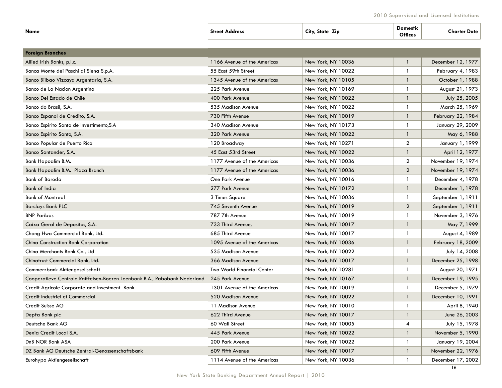| Name                                                                      | <b>Street Address</b>             | City, State Zip    | <b>Domestic</b><br><b>Offices</b> | <b>Charter Date</b> |
|---------------------------------------------------------------------------|-----------------------------------|--------------------|-----------------------------------|---------------------|
| <b>Foreign Branches</b>                                                   |                                   |                    |                                   |                     |
| Allied Irish Banks, p.l.c.                                                | 1166 Avenue of the Americas       | New York, NY 10036 | -1                                | December 12, 1977   |
| Banca Monte dei Paschi di Siena S.p.A.                                    | 55 East 59th Street               | New York, NY 10022 | -1                                | February 4, 1983    |
| Banco Bilbao Vizcaya Argentaria, S.A.                                     | 1345 Avenue of the Americas       | New York, NY 10105 | $\mathbf{1}$                      | October 1, 1988     |
| Banco de La Nacion Argentina                                              | 225 Park Avenue                   | New York, NY 10169 | -1                                | August 21, 1973     |
| Banco Del Estado de Chile                                                 | 400 Park Avenue                   | New York, NY 10022 | -1                                | July 25, 2005       |
| Banco do Brasil, S.A.                                                     | 535 Madison Avenue                | New York, NY 10022 | -1                                | March 25, 1969      |
| Banco Espanol de Credito, S.A.                                            | 730 Fifth Avenue                  | New York, NY 10019 | -1                                | February 22, 1984   |
| Banco Espirito Santo de Investimento, S.A                                 | 340 Madison Avenue                | New York, NY 10173 | -1                                | January 29, 2009    |
| Banco Espirito Santo, S.A.                                                | 320 Park Avenue                   | New York, NY 10022 | $\mathbf{1}$                      | May 6, 1988         |
| Banco Popular de Puerto Rico                                              | 120 Broadway                      | New York, NY 10271 | $\overline{2}$                    | January 1, 1999     |
| Banco Santander, S.A.                                                     | 45 East 53rd Street               | New York, NY 10022 | 1                                 | April 12, 1977      |
| Bank Hapoalim B.M.                                                        | 1177 Avenue of the Americas       | New York, NY 10036 | 2                                 | November 19, 1974   |
| Bank Hapoalim B.M. Plaza Branch                                           | 1177 Avenue of the Americas       | New York, NY 10036 | $\overline{2}$                    | November 19, 1974   |
| <b>Bank of Baroda</b>                                                     | One Park Avenue                   | New York, NY 10016 | -1                                | December 4, 1978    |
| <b>Bank of India</b>                                                      | 277 Park Avenue                   | New York, NY 10172 | 1                                 | December 1, 1978    |
| <b>Bank of Montreal</b>                                                   | 3 Times Square                    | New York, NY 10036 | 1                                 | September 1, 1911   |
| <b>Barclays Bank PLC</b>                                                  | 745 Seventh Avenue                | New York, NY 10019 | $\overline{2}$                    | September 1, 1911   |
| <b>BNP Paribas</b>                                                        | 787 7th Avenue                    | New York, NY 10019 | 1                                 | November 3, 1976    |
| Caixa Geral de Depositos, S.A.                                            | 733 Third Avenue,                 | New York, NY 10017 | $\mathbf{1}$                      | May 7, 1999         |
| Chang Hwa Commercial Bank, Ltd.                                           | 685 Third Avenue                  | New York, NY 10017 | -1                                | August 4, 1989      |
| <b>China Construction Bank Corporation</b>                                | 1095 Avenue of the Americas       | New York, NY 10036 | 1                                 | February 18, 2009   |
| China Merchants Bank Co., Ltd                                             | 535 Madison Avenue                | New York, NY 10022 | $\overline{\phantom{a}}$          | July 14, 2008       |
| Chinatrust Commercial Bank, Ltd.                                          | 366 Madison Avenue                | New York, NY 10017 | 1                                 | December 25, 1998   |
| Commerzbank Aktiengesellschaft                                            | <b>Two World Financial Center</b> | New York, NY 10281 | -1                                | August 20, 1971     |
| Cooperatieve Centrale Raiffeisen-Boeren Leenbank B.A., Rabobank Nederland | 245 Park Avenue                   | New York, NY 10167 | $\mathbf{1}$                      | December 19, 1995   |
| Credit Agricole Corporate and Investment Bank                             | 1301 Avenue of the Americas       | New York, NY 10019 | -1                                | December 5, 1979    |
| Credit Industriel et Commercial                                           | 520 Madison Avenue                | New York, NY 10022 | $\mathbf{1}$                      | December 10, 1991   |
| Credit Suisse AG                                                          | 11 Madison Avenue                 | New York, NY 10010 | -1                                | April 8, 1940       |
| Depfa Bank plc                                                            | 622 Third Avenue                  | New York, NY 10017 | $\mathbf{1}$                      | June 26, 2003       |
| Deutsche Bank AG                                                          | 60 Wall Street                    | New York, NY 10005 | 4                                 | July 15, 1978       |
| Dexia Credit Local S.A.                                                   | 445 Park Avenue                   | New York, NY 10022 | $\mathbf{1}$                      | November 5, 1990    |
| DnB NOR Bank ASA                                                          | 200 Park Avenue                   | New York, NY 10022 | $\mathbf{1}$                      | January 19, 2004    |
| DZ Bank AG Deutsche Zentral-Genossenschaftsbank                           | 609 Fifth Avenue                  | New York, NY 10017 | $\mathbf{1}$                      | November 22, 1976   |
| Eurohypo Aktiengesellschaft                                               | 1114 Avenue of the Americas       | New York, NY 10036 | -1                                | December 17, 2002   |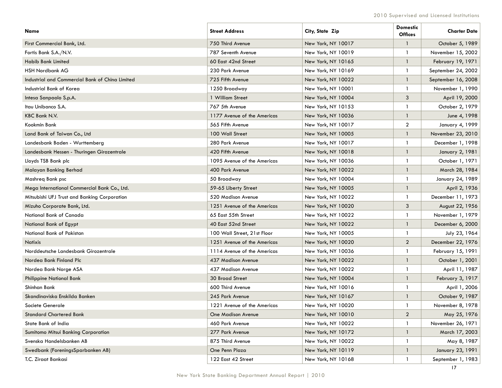| Name                                            | <b>Street Address</b>       | City, State Zip    | <b>Domestic</b><br><b>Offices</b> | <b>Charter Date</b> |
|-------------------------------------------------|-----------------------------|--------------------|-----------------------------------|---------------------|
| First Commercial Bank, Ltd.                     | 750 Third Avenue            | New York, NY 10017 |                                   | October 5, 1989     |
| Fortis Bank S.A./N.V.                           | 787 Seventh Avenue          | New York, NY 10019 | -1                                | November 15, 2002   |
| <b>Habib Bank Limited</b>                       | 60 East 42nd Street         | New York, NY 10165 | $\mathbf{1}$                      | February 19, 1971   |
| <b>HSH Nordbank AG</b>                          | 230 Park Avenue             | New York, NY 10169 | -1                                | September 24, 2002  |
| Industrial and Commercial Bank of China Limited | 725 Fifth Avenue            | New York, NY 10022 | $\mathbf{1}$                      | September 16, 2008  |
| Industrial Bank of Korea                        | 1250 Broadway               | New York, NY 10001 | -1                                | November 1, 1990    |
| Intesa Sanpaolo S.p.A.                          | 1 William Street            | New York, NY 10004 | 3                                 | April 19, 2000      |
| Itau Unibanco S.A.                              | 767 5th Avenue              | New York, NY 10153 | -1                                | October 2, 1979     |
| KBC Bank N.V.                                   | 1177 Avenue of the Americas | New York, NY 10036 | $\mathbf{1}$                      | June 4, 1998        |
| Kookmin Bank                                    | 565 Fifth Avenue            | New York, NY 10017 | $\overline{2}$                    | January 4, 1999     |
| Land Bank of Taiwan Co., Ltd                    | 100 Wall Street             | New York, NY 10005 | $\mathbf{1}$                      | November 23, 2010   |
| Landesbank Baden - Wurttemberg                  | 280 Park Avenue             | New York, NY 10017 | -1                                | December 1, 1998    |
| Landesbank Hessen - Thuringen Girozentrale      | 420 Fifth Avenue            | New York, NY 10018 | $\mathbf{1}$                      | January 2, 1981     |
| Lloyds TSB Bank plc                             | 1095 Avenue of the Americas | New York, NY 10036 | -1                                | October 1, 1971     |
| Malayan Banking Berhad                          | 400 Park Avenue             | New York, NY 10022 | $\mathbf{1}$                      | March 28, 1984      |
| Mashreg Bank psc                                | 50 Broadway                 | New York, NY 10004 | $\mathbf{1}$                      | January 24, 1989    |
| Mega International Commercial Bank Co., Ltd.    | 59-65 Liberty Street        | New York, NY 10005 | $\mathbf{1}$                      | April 2, 1936       |
| Mitsubishi UFJ Trust and Banking Corporation    | 520 Madison Avenue          | New York, NY 10022 | -1                                | December 11, 1973   |
| Mizuho Corporate Bank, Ltd.                     | 1251 Avenue of the Americas | New York, NY 10020 | 3                                 | August 22, 1956     |
| National Bank of Canada                         | 65 East 55th Street         | New York, NY 10022 | -1                                | November 1, 1979    |
| National Bank of Egypt                          | 40 East 52nd Street         | New York, NY 10022 | $\mathbf{1}$                      | December 6, 2000    |
| National Bank of Pakistan                       | 100 Wall Street, 21st Floor | New York, NY 10005 | -1                                | July 23, 1964       |
| <b>Natixis</b>                                  | 1251 Avenue of the Americas | New York, NY 10020 | $\overline{2}$                    | December 22, 1976   |
| Norddeutsche Landesbank Girozentrale            | 1114 Avenue of the Americas | New York, NY 10036 | $\mathbf{1}$                      | February 15, 1991   |
| Nordea Bank Finland Plc                         | 437 Madison Avenue          | New York, NY 10022 | $\mathbf{1}$                      | October 1, 2001     |
| Nordea Bank Norge ASA                           | 437 Madison Avenue          | New York, NY 10022 | -1                                | April 11, 1987      |
| <b>Philippine National Bank</b>                 | <b>30 Broad Street</b>      | New York, NY 10004 | $\mathbf{1}$                      | February 3, 1917    |
| Shinhan Bank                                    | 600 Third Avenue            | New York, NY 10016 | -1                                | April 1, 2006       |
| Skandinaviska Enskilda Banken                   | 245 Park Avenue             | New York, NY 10167 | $\mathbf{1}$                      | October 9, 1987     |
| Societe Generale                                | 1221 Avenue of the Americas | New York, NY 10020 | -1                                | November 8, 1978    |
| <b>Standard Chartered Bank</b>                  | One Madison Avenue          | New York, NY 10010 | $\overline{2}$                    | May 25, 1976        |
| State Bank of India                             | 460 Park Avenue             | New York, NY 10022 | $\mathbf{1}$                      | November 26, 1971   |
| Sumitomo Mitsui Banking Corporation             | 277 Park Avenue             | New York, NY 10172 | $\mathbf{1}$                      | March 17, 2003      |
| Svenska Handelsbanken AB                        | 875 Third Avenue            | New York, NY 10022 | $\mathbf{1}$                      | May 8, 1987         |
| Swedbank (ForeningsSparbanken AB)               | One Penn Plaza              | New York, NY 10119 | $\mathbf{1}$                      | January 23, 1991    |
| T.C. Ziraat Bankasi                             | 122 East 42 Street          | New York, NY 10168 |                                   | September 1, 1983   |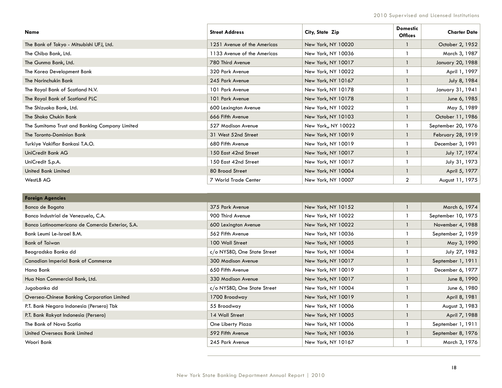| Name                                           | <b>Street Address</b>       | City, State Zip     | <b>Domestic</b><br><b>Offices</b> | <b>Charter Date</b> |
|------------------------------------------------|-----------------------------|---------------------|-----------------------------------|---------------------|
| The Bank of Tokyo - Mitsubishi UFJ, Ltd.       | 1251 Avenue of the Americas | New York, NY 10020  |                                   | October 2, 1952     |
| The Chiba Bank, Ltd.                           | 1133 Avenue of the Americas | New York, NY 10036  |                                   | March 3, 1987       |
| The Gunma Bank, Ltd.                           | 780 Third Avenue            | New York, NY 10017  |                                   | January 20, 1988    |
| The Korea Development Bank                     | 320 Park Avenue             | New York, NY 10022  |                                   | April 1, 1997       |
| The Norinchukin Bank                           | 245 Park Avenue             | New York, NY 10167  |                                   | July 8, 1984        |
| The Royal Bank of Scotland N.V.                | 101 Park Avenue             | New York, NY 10178  |                                   | January 31, 1941    |
| The Royal Bank of Scotland PLC                 | 101 Park Avenue             | New York, NY 10178  |                                   | June 6, 1985        |
| The Shizuoka Bank, Ltd.                        | 600 Lexington Avenue        | New York, NY 10022  |                                   | May 5, 1989         |
| The Shoko Chukin Bank                          | 666 Fifth Avenue            | New York, NY 10103  |                                   | October 11, 1986    |
| The Sumitomo Trust and Banking Company Limited | 527 Madison Avenue          | New York,, NY 10022 |                                   | September 20, 1976  |
| The Toronto-Dominion Bank                      | 31 West 52nd Street         | New York, NY 10019  |                                   | February 28, 1919   |
| Turkiye Vakiflar Bankasi T.A.O.                | 680 Fifth Avenue            | New York, NY 10019  |                                   | December 3, 1991    |
| UniCredit Bank AG                              | 150 East 42nd Street        | New York, NY 10017  |                                   | July 17, 1974       |
| UniCredit S.p.A.                               | 150 East 42nd Street        | New York, NY 10017  |                                   | July 31, 1973       |
| United Bank Limited                            | 80 Broad Street             | New York, NY 10004  |                                   | April 5, 1977       |
| WestLB AG                                      | 7 World Trade Center        | New York, NY 10007  | $\overline{2}$                    | August 11, 1975     |

| <b>Foreign Agencies</b>                          |                             |                    |                    |
|--------------------------------------------------|-----------------------------|--------------------|--------------------|
| Banco de Bogota                                  | 375 Park Avenue             | New York, NY 10152 | March 6, 1974      |
| Banco Industrial de Venezuela, C.A.              | 900 Third Avenue            | New York, NY 10022 | September 10, 1975 |
| Banco Latinoamericano de Comercio Exterior, S.A. | 600 Lexington Avenue        | New York, NY 10022 | November 4, 1988   |
| Bank Leumi Le-Israel B.M.                        | 562 Fifth Avenue            | New York, NY 10036 | September 2, 1959  |
| <b>Bank of Taiwan</b>                            | 100 Wall Street             | New York, NY 10005 | May 3, 1990        |
| Beogradska Banka dd                              | c/o NYSBD, One State Street | New York, NY 10004 | July 27, 1982      |
| <b>Canadian Imperial Bank of Commerce</b>        | 300 Madison Avenue          | New York, NY 10017 | September 1, 1911  |
| Hana Bank                                        | 650 Fifth Avenue            | New York, NY 10019 | December 6, 1977   |
| Hua Nan Commercial Bank, Ltd.                    | 330 Madison Avenue          | New York, NY 10017 | June 8, 1990       |
| Jugobanka dd                                     | c/o NYSBD, One State Street | New York, NY 10004 | June 6, 1980       |
| Oversea-Chinese Banking Corporation Limited      | 1700 Broadway               | New York, NY 10019 | April 8, 1981      |
| P.T. Bank Negara Indonesia (Persero) Tbk         | 55 Broadway                 | New York, NY 10006 | August 3, 1983     |
| P.T. Bank Rakyat Indonesia (Persero)             | 14 Wall Street              | New York, NY 10005 | April 7, 1988      |
| The Bank of Nova Scotia                          | One Liberty Plaza           | New York, NY 10006 | September 1, 1911  |
| United Overseas Bank Limited                     | 592 Fifth Avenue            | New York, NY 10036 | September 8, 1976  |
| Woori Bank                                       | 245 Park Avenue             | New York, NY 10167 | March 3, 1976      |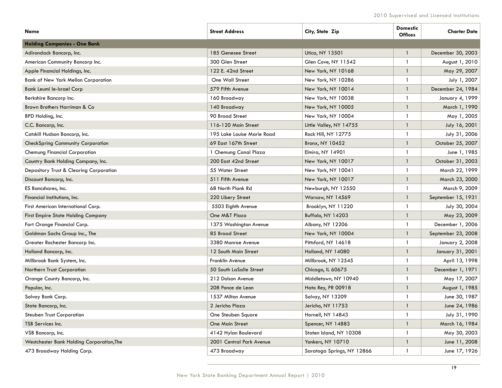| Name                                       | <b>Street Address</b>      | City, State Zip            | <b>Domestic</b><br><b>Offices</b> | <b>Charter Date</b> |
|--------------------------------------------|----------------------------|----------------------------|-----------------------------------|---------------------|
| <b>Holding Companies - One Bank</b>        |                            |                            |                                   |                     |
| Adirondack Bancorp, Inc.                   | 185 Genesee Street         | Utica, NY 13501            | $\mathbf{1}$                      | December 30, 2003   |
| American Community Bancorp Inc.            | 300 Glen Street            | Glen Cove, NY 11542        | 1                                 | August 1, 2010      |
| Apple Financial Holdings, Inc.             | 122 E. 42nd Street         | New York, NY 10168         | $\mathbf{1}$                      | May 29, 2007        |
| <b>Bank of New York Mellon Corporation</b> | One Wall Street            | New York, NY 10286         | $\mathbf{1}$                      | July 1, 2007        |
| Bank Leumi le-Israel Corp                  | 579 Fifth Avenue           | New York, NY 10014         | $\mathbf{1}$                      | December 24, 1984   |
| Berkshire Bancorp Inc.                     | 160 Broadway               | New York, NY 10038         | -1                                | January 4, 1999     |
| Brown Brothers Harriman & Co               | 140 Broadway               | New York, NY 10005         | $\mathbf{1}$                      | March 1, 1990       |
| BPD Holding, Inc.                          | 90 Broad Street            | New York, NY 10004         | -1                                | May 1, 2005         |
| C.C. Bancorp, Inc.                         | 116-120 Main Street        | Little Valley, NY 14755    | $\mathbf{1}$                      | July 16, 2001       |
| Catskill Hudson Bancorp, Inc.              | 195 Lake Louise Marie Road | Rock Hill, NY 12775        | $\mathbf{1}$                      | July 31, 2006       |
| <b>CheckSpring Community Corporation</b>   | 69 East 167th Street       | Bronx, NY 10452            | $\mathbf{1}$                      | October 25, 2007    |
| <b>Chemung Financial Corporation</b>       | 1 Chemung Canal Plaza      | Elmira, NY 14901           | 1                                 | June 1, 1985        |
| Country Bank Holding Company, Inc.         | 200 East 42nd Street       | New York, NY 10017         | $\mathbf{1}$                      | October 31, 2003    |
| Depository Trust & Clearing Corporation    | 55 Water Street            | New York, NY 10041         | $\mathbf{1}$                      | March 22, 1999      |
| Discount Bancorp, Inc.                     | 511 Fifth Avenue           | New York, NY 10017         | $\mathbf{1}$                      | March 23, 2000      |
| ES Bancshares, Inc.                        | 68 North Plank Rd          | Newburgh, NY 12550         | $\overline{1}$                    | March 9, 2009       |
| Financial Institutions, Inc.               | 220 Libery Street          | Warsaw, NY 14569           | $\mathbf{1}$                      | September 15, 1931  |
| First American International Corp.         | 5503 Eighth Avenue         | Brooklyn, NY 11220         | $\mathbf{1}$                      | July 30, 2004       |
| <b>First Empire State Holding Company</b>  | One M&T Plaza              | Buffalo, NY 14203          | $\mathbf{1}$                      | May 23, 2009        |
| Fort Orange Financial Corp.                | 1375 Washington Avenue     | Albany, NY 12206           | -1                                | December 1, 2006    |
| Goldman Sachs Group Inc., The              | 85 Broad Street            | New York, NY 10004         | 1                                 | September 23, 2008  |
| Greater Rochester Bancorp Inc.             | 3380 Monroe Avenue         | Pittsford, NY 14618        | -1                                | January 2, 2008     |
| Holland Bancorp, Inc.                      | 12 South Main Street       | Holland, NY 14080          | $\mathbf{1}$                      | January 31, 2001    |
| Millbrook Bank System, Inc.                | Franklin Avenue            | Millbrook, NY 12545        | -1                                | April 13, 1998      |
| Northern Trust Corporation                 | 50 South LaSalle Street    | Chicago, IL 60675          | $\mathbf{1}$                      | December 1, 1971    |
| Orange County Bancorp, Inc.                | 212 Dolson Avenue          | Middletown, NY 10940       | 1                                 | May 17, 2007        |
| Popular, Inc.                              | 208 Ponce de Leon          | Hato Rey, PR 00918         | 1                                 | August 1, 1985      |
| Solvay Bank Corp.                          | 1537 Milton Avenue         | Solvay, NY 13209           | $\mathbf{1}$                      | June 30, 1987       |
| State Bancorp, Inc.                        | 2 Jericho Plaza            | Jericho, NY 11753          | $\mathbf{1}$                      | June 24, 1986       |
| Steuben Trust Corporation                  | One Steuben Square         | Hornell, NY 14843          | $\mathbf{1}$                      | July 31, 1990       |
| TSB Services Inc.                          | <b>One Main Street</b>     | Spencer, NY 14883          | -1                                | March 16, 1984      |
| VSB Bancorp, Inc.                          | 4142 Hylan Boulevard       | Staten Island, NY 10308    | -1                                | May 30, 2003        |
| Westchester Bank Holding Corporation, The  | 2001 Central Park Avenue   | Yonkers, NY 10710          | 1                                 | June 11, 2008       |
| 473 Broadway Holding Corp.                 | 473 Broadway               | Saratoga Springs, NY 12866 | $\mathbf{1}$                      | June 17, 1926       |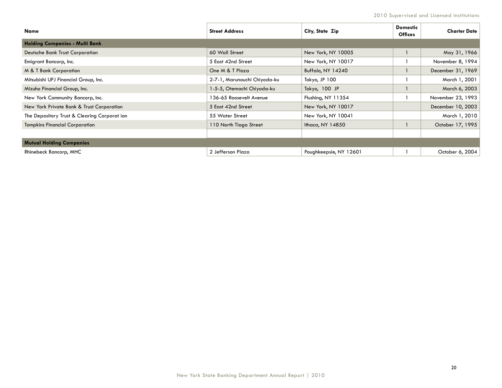2010 Supervised and Licensed Institutions

| Name                                         | <b>Street Address</b>        | City, State Zip        | <b>Domestic</b><br><b>Offices</b> | <b>Charter Date</b> |
|----------------------------------------------|------------------------------|------------------------|-----------------------------------|---------------------|
| <b>Holding Companies - Multi Bank</b>        |                              |                        |                                   |                     |
| Deutsche Bank Trust Corporation              | 60 Wall Street               | New York, NY 10005     |                                   | May 31, 1966        |
| Emigrant Bancorp, Inc.                       | 5 East 42nd Street           | New York, NY 10017     |                                   | November 8, 1994    |
| M & T Bank Corporation                       | One M & T Plaza              | Buffalo, NY 14240      |                                   | December 31, 1969   |
| Mitsubishi UFJ Financial Group, Inc.         | 2-7-1, Marunouchi Chiyoda-ku | Tokyo, JP 100          |                                   | March 1, 2001       |
| Mizuho Financial Group, Inc.                 | 1-5-5, Otemachi Chiyoda-ku   | Tokyo, 100 JP          |                                   | March 6, 2003       |
| New York Community Bancorp, Inc.             | 136-65 Roosevelt Avenue      | Flushing, NY 11354     |                                   | November 23, 1993   |
| New York Private Bank & Trust Corporation    | 5 East 42nd Street           | New York, NY 10017     |                                   | December 10, 2003   |
| The Depository Trust & Clearing Corporat ion | 55 Water Street              | New York, NY 10041     |                                   | March 1, 2010       |
| <b>Tompkins Financial Corporation</b>        | 110 North Tioga Street       | Ithaca, NY 14850       |                                   | October 17, 1995    |
|                                              |                              |                        |                                   |                     |
| <b>Mutual Holding Companies</b>              |                              |                        |                                   |                     |
| Rhinebeck Bancorp, MHC                       | 2 Jefferson Plaza            | Poughkeepsie, NY 12601 |                                   | October 6, 2004     |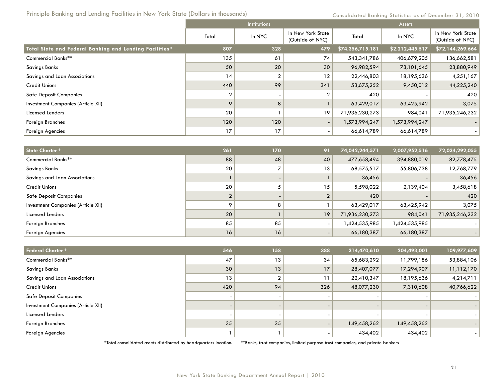## Principle Banking and Lending Facilities in New York State (Dollars in thousands)

Consolidated Banking Statistics as of December 31, 2010

|                                                         |                | Institutions |                                       | <b>Assets</b>    |                 |                                       |  |
|---------------------------------------------------------|----------------|--------------|---------------------------------------|------------------|-----------------|---------------------------------------|--|
|                                                         | Total          | In NYC       | In New York State<br>(Outside of NYC) | Total            | In NYC          | In New York State<br>(Outside of NYC) |  |
| Total State and Federal Banking and Lending Facilities* | 807            | 328          | 479                                   | \$74,356,715,181 | \$2,212,445,517 | \$72,144,269,664                      |  |
| Commercial Banks**                                      | 135            | 61           | 74                                    | 543,341,786      | 406,679,205     | 136,662,581                           |  |
| Savings Banks                                           | 50             | 20           | 30                                    | 96,982,594       | 73,101,645      | 23,880,949                            |  |
| Savings and Loan Associations                           | 14             | 2            | 12                                    | 22,446,803       | 18,195,636      | 4,251,167                             |  |
| <b>Credit Unions</b>                                    | 440            | 99           | 341                                   | 53,675,252       | 9,450,012       | 44,225,240                            |  |
| <b>Safe Deposit Companies</b>                           | $\overline{2}$ |              | 2                                     | 420              |                 | 420                                   |  |
| Investment Companies (Article XII)                      | 9              | 8            |                                       | 63,429,017       | 63,425,942      | 3,075                                 |  |
| Licensed Lenders                                        | 20             |              | 19                                    | 71,936,230,273   | 984,041         | 71,935,246,232                        |  |
| Foreign Branches                                        | 120            | 120          | $\overline{\phantom{a}}$              | 1,573,994,247    | 1,573,994,247   | $\overline{\phantom{a}}$              |  |
| Foreign Agencies                                        | 17             | 17           |                                       | 66,614,789       | 66,614,789      |                                       |  |

| State Charter*                     | 261            | 170 | 91 | 74,042,244,571 | 2,007,952,516 | 72,034,292,055 |
|------------------------------------|----------------|-----|----|----------------|---------------|----------------|
| Commercial Banks**                 | 88             | 48  | 40 | 477,658,494    | 394,880,019   | 82,778,475     |
| Savings Banks                      | 20             |     | 13 | 68,575,517     | 55,806,738    | 12,768,779     |
| Savings and Loan Associations      |                |     |    | 36,456         |               | 36,456         |
| <b>Credit Unions</b>               | 20             |     | 15 | 5,598,022      | 2,139,404     | 3,458,618      |
| <b>Safe Deposit Companies</b>      | $\overline{2}$ |     |    | 420            |               | 420            |
| Investment Companies (Article XII) | O              | 8   |    | 63,429,017     | 63,425,942    | 3,075          |
| Licensed Lenders                   | 20             |     | 19 | 71,936,230,273 | 984,041       | 71,935,246,232 |
| <b>Foreign Branches</b>            | 85             | 85  |    | 1,424,535,985  | 1,424,535,985 |                |
| Foreign Agencies                   | 16             | 16  |    | 66,180,387     | 66,180,387    |                |

| Federal Charter*                   | 546                      | 158                      | 388 | 314,470,610 | 204,493,001 | 109,977,609 |
|------------------------------------|--------------------------|--------------------------|-----|-------------|-------------|-------------|
| Commercial Banks**                 | 47                       | 13                       | 34  | 65,683,292  | 11,799,186  | 53,884,106  |
| Savings Banks                      | 30                       | 13                       | 17  | 28,407,077  | 17,294,907  | 11,112,170  |
| Savings and Loan Associations      | 13                       | C.                       | 11  | 22,410,347  | 18,195,636  | 4,214,711   |
| <b>Credit Unions</b>               | 420                      | 94                       | 326 | 48,077,230  | 7,310,608   | 40,766,622  |
| <b>Safe Deposit Companies</b>      | $\overline{\phantom{0}}$ | $\overline{\phantom{0}}$ |     |             |             |             |
| Investment Companies (Article XII) | $\overline{\phantom{0}}$ | $\overline{\phantom{0}}$ |     |             |             |             |
| Licensed Lenders                   | $\overline{\phantom{0}}$ | -                        |     |             |             |             |
| Foreign Branches                   | 35                       | 35                       |     | 149,458,262 | 149,458,262 |             |
| Foreign Agencies                   |                          |                          |     | 434,402     | 434,402     |             |

\*Total consolidated assets distributed by headquarters location. \*\*Banks, trust companies, limited purpose trust companies, and private bankers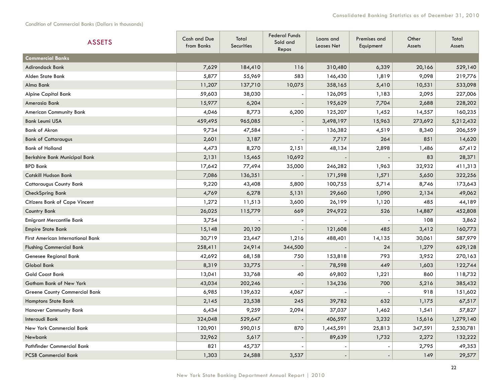| <b>ASSETS</b>                        | Cash and Due<br>from Banks | Total<br><b>Securities</b> | <b>Federal Funds</b><br>Sold and<br>Repos | Loans and<br><b>Leases Net</b> | Premises and<br>Equipment | Other<br>Assets | Total<br>Assets |
|--------------------------------------|----------------------------|----------------------------|-------------------------------------------|--------------------------------|---------------------------|-----------------|-----------------|
| <b>Commercial Banks</b>              |                            |                            |                                           |                                |                           |                 |                 |
| Adirondack Bank                      | 7,629                      | 184,410                    | 116                                       | 310,480                        | 6,339                     | 20,166          | 529,140         |
| Alden State Bank                     | 5,877                      | 55,969                     | 583                                       | 146,430                        | 1,819                     | 9,098           | 219,776         |
| Alma Bank                            | 11,207                     | 137,710                    | 10,075                                    | 358,165                        | 5,410                     | 10,531          | 533,098         |
| Alpine Capital Bank                  | 59,603                     | 38,030                     |                                           | 126,095                        | 1,183                     | 2,095           | 227,006         |
| Amerasia Bank                        | 15,977                     | 6,204                      |                                           | 195,629                        | 7,704                     | 2,688           | 228,202         |
| <b>American Community Bank</b>       | 4,046                      | 8,773                      | 6,200                                     | 125,207                        | 1,452                     | 14,557          | 160,235         |
| <b>Bank Leumi USA</b>                | 459,495                    | 965,085                    |                                           | 3,498,197                      | 15,963                    | 273,692         | 5,212,432       |
| <b>Bank of Akron</b>                 | 9,734                      | 47,584                     |                                           | 136,382                        | 4,519                     | 8,340           | 206,559         |
| <b>Bank of Cattaraugus</b>           | 2,601                      | 3,187                      |                                           | 7,717                          | 264                       | 851             | 14,620          |
| <b>Bank of Holland</b>               | 4,473                      | 8,270                      | 2,151                                     | 48,134                         | 2,898                     | 1,486           | 67,412          |
| Berkshire Bank Municipal Bank        | 2,131                      | 15,465                     | 10,692                                    |                                |                           | 83              | 28,371          |
| <b>BPD Bank</b>                      | 17,642                     | 77,494                     | 35,000                                    | 246,282                        | 1,963                     | 32,932          | 411,313         |
| <b>Catskill Hudson Bank</b>          | 7,086                      | 136,351                    |                                           | 171,598                        | 1,571                     | 5,650           | 322,256         |
| <b>Cattaraugus County Bank</b>       | 9,220                      | 43,408                     | 5,800                                     | 100,755                        | 5,714                     | 8,746           | 173,643         |
| <b>CheckSpring Bank</b>              | 4,769                      | 6,278                      | 5,131                                     | 29,660                         | 1,090                     | 2,134           | 49,062          |
| <b>Citizens Bank of Cape Vincent</b> | 1,272                      | 11,513                     | 3,600                                     | 26,199                         | 1,120                     | 485             | 44,189          |
| Country Bank                         | 26,025                     | 115,779                    | 669                                       | 294,922                        | 526                       | 14,887          | 452,808         |
| <b>Emigrant Mercantile Bank</b>      | 3,754                      |                            |                                           |                                |                           | 108             | 3,862           |
| <b>Empire State Bank</b>             | 15,148                     | 20,120                     |                                           | 121,608                        | 485                       | 3,412           | 160,773         |
| First American International Bank    | 30,719                     | 23,447                     | 1,216                                     | 488,401                        | 14,135                    | 30,061          | 587,979         |
| <b>Flushing Commercial Bank</b>      | 258,411                    | 24,914                     | 344,500                                   |                                | 24                        | 1,279           | 629,128         |
| Genesee Regional Bank                | 42,692                     | 68,158                     | 750                                       | 153,818                        | 793                       | 3,952           | 270,163         |
| <b>Global Bank</b>                   | 8,319                      | 33,775                     |                                           | 78,598                         | 449                       | 1,603           | 122,744         |
| <b>Gold Coast Bank</b>               | 13,041                     | 33,768                     | 40                                        | 69,802                         | 1,221                     | 860             | 118,732         |
| Gotham Bank of New York              | 43,034                     | 202,246                    |                                           | 134,236                        | 700                       | 5,216           | 385,432         |
| <b>Greene County Commercial Bank</b> | 6,985                      | 139,632                    | 4,067                                     |                                |                           | 918             | 151,602         |
| <b>Hamptons State Bank</b>           | 2,145                      | 23,538                     | 245                                       | 39,782                         | 632                       | 1,175           | 67,517          |
| Hanover Community Bank               | 6,434                      | 9,259                      | 2,094                                     | 37,037                         | 1,462                     | 1,541           | 57,827          |
| Interaudi Bank                       | 324,048                    | 529,647                    |                                           | 406,597                        | 3,232                     | 15,616          | 1,279,140       |
| New York Commercial Bank             | 120,901                    | 590,015                    | 870                                       | 1,445,591                      | 25,813                    | 347,591         | 2,530,781       |
| Newbank                              | 32,962                     | 5,617                      |                                           | 89,639                         | 1,732                     | 2,272           | 132,222         |
| <b>Pathfinder Commercial Bank</b>    | 821                        | 45,737                     |                                           |                                |                           | 2,795           | 49,353          |
| <b>PCSB Commercial Bank</b>          | 1,303                      | 24,588                     | 3,537                                     |                                |                           | 149             | 29,577          |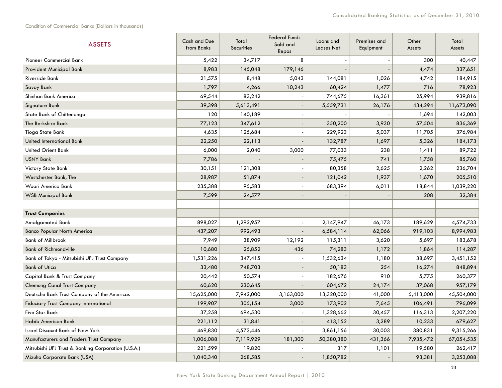| <b>ASSETS</b>                                       | Cash and Due<br>from Banks | Total<br><b>Securities</b> | <b>Federal Funds</b><br>Sold and<br>Repos | Loans and<br><b>Leases Net</b> | Premises and<br>Equipment | Other<br>Assets | Total<br>Assets |
|-----------------------------------------------------|----------------------------|----------------------------|-------------------------------------------|--------------------------------|---------------------------|-----------------|-----------------|
| Pioneer Commercial Bank                             | 5,422                      | 34,717                     | 8                                         |                                |                           | 300             | 40,447          |
| Provident Municipal Bank                            | 8,983                      | 145,048                    | 179,146                                   |                                |                           | 4,474           | 337,651         |
| <b>Riverside Bank</b>                               | 21,575                     | 8,448                      | 5,043                                     | 144,081                        | 1,026                     | 4,742           | 184,915         |
| Savoy Bank                                          | 1,797                      | 4,266                      | 10,243                                    | 60,424                         | 1,477                     | 716             | 78,923          |
| Shinhan Bank America                                | 69,544                     | 83,242                     |                                           | 744,675                        | 16,361                    | 25,994          | 939,816         |
| Signature Bank                                      | 39,398                     | 5,613,491                  |                                           | 5,559,731                      | 26,176                    | 434,294         | 11,673,090      |
| State Bank of Chittenango                           | 120                        | 140,189                    |                                           |                                |                           | 1,694           | 142,003         |
| The Berkshire Bank                                  | 77,123                     | 347,612                    |                                           | 350,200                        | 3,930                     | 57,504          | 836,369         |
| <b>Tioga State Bank</b>                             | 4,635                      | 125,684                    |                                           | 229,923                        | 5,037                     | 11,705          | 376,984         |
| United International Bank                           | 22,250                     | 22,113                     |                                           | 132,787                        | 1,697                     | 5,326           | 184,173         |
| <b>United Orient Bank</b>                           | 6,000                      | 2,040                      | 3,000                                     | 77,033                         | 238                       | 1,411           | 89,722          |
| <b>USNY Bank</b>                                    | 7,786                      |                            |                                           | 75,475                         | 741                       | 1,758           | 85,760          |
| Victory State Bank                                  | 30,151                     | 121,308                    |                                           | 80,358                         | 2,625                     | 2,262           | 236,704         |
| Westchester Bank, The                               | 28,987                     | 51,874                     |                                           | 121,042                        | 1,937                     | 1,670           | 205,510         |
| Woori America Bank                                  | 235,388                    | 95,583                     |                                           | 683,394                        | 6,011                     | 18,844          | 1,039,220       |
| <b>WSB Municipal Bank</b>                           | 7,599                      | 24,577                     |                                           |                                |                           | 208             | 32,384          |
|                                                     |                            |                            |                                           |                                |                           |                 |                 |
| <b>Trust Companies</b>                              |                            |                            |                                           |                                |                           |                 |                 |
| <b>Amalgamated Bank</b>                             | 898,027                    | 1,292,957                  |                                           | 2,147,947                      | 46,173                    | 189,629         | 4,574,733       |
| <b>Banco Popular North America</b>                  | 437,207                    | 992,493                    |                                           | 6,584,114                      | 62,066                    | 919,103         | 8,994,983       |
| <b>Bank of Millbrook</b>                            | 7,949                      | 38,909                     | 12,192                                    | 115,311                        | 3,620                     | 5,697           | 183,678         |
| <b>Bank of Richmondville</b>                        | 10,680                     | 25,852                     | 436                                       | 74,283                         | 1,172                     | 1,864           | 114,287         |
| Bank of Tokyo - Mitsubishi UFJ Trust Company        | 1,531,226                  | 347,415                    |                                           | 1,532,634                      | 1,180                     | 38,697          | 3,451,152       |
| <b>Bank of Utica</b>                                | 33,480                     | 748,703                    |                                           | 50,183                         | 254                       | 16,274          | 848,894         |
| Capital Bank & Trust Company                        | 20,442                     | 50,574                     |                                           | 182,676                        | 910                       | 5,775           | 260,377         |
| Chemung Canal Trust Company                         | 60,620                     | 230,645                    |                                           | 604,672                        | 24,174                    | 37,068          | 957,179         |
| Deutsche Bank Trust Company of the Americas         | 15,625,000                 | 7,942,000                  | 3,163,000                                 | 13,320,000                     | 41,000                    | 5,413,000       | 45,504,000      |
| <b>Fiduciary Trust Company International</b>        | 199,907                    | 305,154                    | 3,000                                     | 173,902                        | 7,645                     | 106,491         | 796,099         |
| <b>Five Star Bank</b>                               | 37,258                     | 694,530                    |                                           | 1,328,662                      | 30,457                    | 116,313         | 2,207,220       |
| Habib American Bank                                 | 221,112                    | 31,841                     |                                           | 413,152                        | 3,289                     | 10,233          | 679,627         |
| <b>Israel Discount Bank of New York</b>             | 469,830                    | 4,573,446                  |                                           | 3,861,156                      | 30,003                    | 380,831         | 9,315,266       |
| <b>Manufacturers and Traders Trust Company</b>      | 1,006,088                  | 7,119,929                  | 181,300                                   | 50,380,380                     | 431,366                   | 7,935,472       | 67,054,535      |
| Mitsubishi UFJ Trust & Banking Corporation (U.S.A.) | 221,599                    | 19,820                     |                                           | 317                            | 1,101                     | 19,580          | 262,417         |
| Mizuho Corporate Bank (USA)                         | 1,040,340                  | 268,585                    |                                           | 1,850,782                      |                           | 93,381          | 3,253,088       |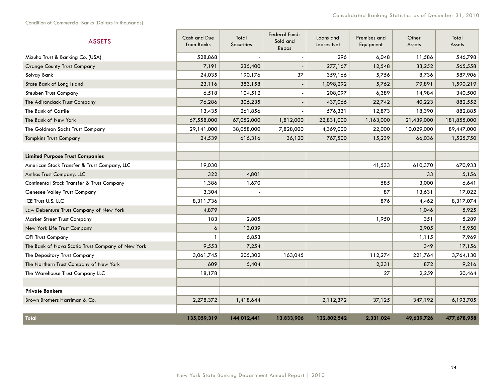| <b>ASSETS</b>                                     | Cash and Due<br>from Banks | Total<br><b>Securities</b> | <b>Federal Funds</b><br>Sold and<br>Repos | Loans and<br><b>Leases Net</b> | Premises and<br>Equipment | Other<br>Assets | Total<br>Assets |
|---------------------------------------------------|----------------------------|----------------------------|-------------------------------------------|--------------------------------|---------------------------|-----------------|-----------------|
| Mizuho Trust & Banking Co. (USA)                  | 528,868                    |                            |                                           | 296                            | 6,048                     | 11,586          | 546,798         |
| <b>Orange County Trust Company</b>                | 7,191                      | 235,400                    |                                           | 277,167                        | 12,548                    | 33,252          | 565,558         |
| Solvay Bank                                       | 24,035                     | 190,176                    | 37                                        | 359,166                        | 5,756                     | 8,736           | 587,906         |
| State Bank of Long Island                         | 23,116                     | 383,158                    |                                           | 1,098,292                      | 5,762                     | 79,891          | 1,590,219       |
| <b>Steuben Trust Company</b>                      | 6,518                      | 104,512                    |                                           | 208,097                        | 6,389                     | 14,984          | 340,500         |
| The Adirondack Trust Company                      | 76,286                     | 306,235                    |                                           | 437,066                        | 22,742                    | 40,223          | 882,552         |
| The Bank of Castile                               | 13,435                     | 261,856                    |                                           | 576,331                        | 12,873                    | 18,390          | 882,885         |
| The Bank of New York                              | 67,558,000                 | 67,052,000                 | 1,812,000                                 | 22,831,000                     | 1,163,000                 | 21,439,000      | 181,855,000     |
| The Goldman Sachs Trust Company                   | 29,141,000                 | 38,058,000                 | 7,828,000                                 | 4,369,000                      | 22,000                    | 10,029,000      | 89,447,000      |
| <b>Tompkins Trust Company</b>                     | 24,539                     | 616,316                    | 36,120                                    | 767,500                        | 15,239                    | 66,036          | 1,525,750       |
|                                                   |                            |                            |                                           |                                |                           |                 |                 |
| <b>Limited Purpose Trust Companies</b>            |                            |                            |                                           |                                |                           |                 |                 |
| American Stock Transfer & Trust Company, LLC      | 19,030                     |                            |                                           |                                | 41,533                    | 610,370         | 670,933         |
| Anthos Trust Company, LLC                         | 322                        | 4,801                      |                                           |                                |                           | 33              | 5,156           |
| Continental Stock Transfer & Trust Company        | 1,386                      | 1,670                      |                                           |                                | 585                       | 3,000           | 6,641           |
| Genesee Valley Trust Company                      | 3,304                      |                            |                                           |                                | 87                        | 13,631          | 17,022          |
| ICE Trust U.S. LLC                                | 8,311,736                  |                            |                                           |                                | 876                       | 4,462           | 8,317,074       |
| Law Debenture Trust Company of New York           | 4,879                      |                            |                                           |                                |                           | 1,046           | 5,925           |
| Market Street Trust Company                       | 183                        | 2,805                      |                                           |                                | 1,950                     | 351             | 5,289           |
| New York Life Trust Company                       | 6                          | 13,039                     |                                           |                                |                           | 2,905           | 15,950          |
| <b>OFI Trust Company</b>                          | -1                         | 6,853                      |                                           |                                |                           | 1,115           | 7,969           |
| The Bank of Nova Scotia Trust Company of New York | 9,553                      | 7,254                      |                                           |                                |                           | 349             | 17,156          |
| The Depository Trust Company                      | 3,061,745                  | 205,302                    | 163,045                                   |                                | 112,274                   | 221,764         | 3,764,130       |
| The Northern Trust Company of New York            | 609                        | 5,404                      |                                           |                                | 2,331                     | 872             | 9,216           |
| The Warehouse Trust Company LLC                   | 18,178                     |                            |                                           |                                | 27                        | 2,259           | 20,464          |
|                                                   |                            |                            |                                           |                                |                           |                 |                 |
| <b>Private Bankers</b>                            |                            |                            |                                           |                                |                           |                 |                 |
| Brown Brothers Harriman & Co.                     | 2,278,372                  | 1,418,644                  |                                           | 2,112,372                      | 37,125                    | 347,192         | 6,193,705       |
|                                                   |                            |                            |                                           |                                |                           |                 |                 |
| <b>Total</b>                                      | 135,059,319                | 144,012,441                | 13,833,906                                | 132,802,542                    | 2,331,024                 | 49,639,726      | 477,678,958     |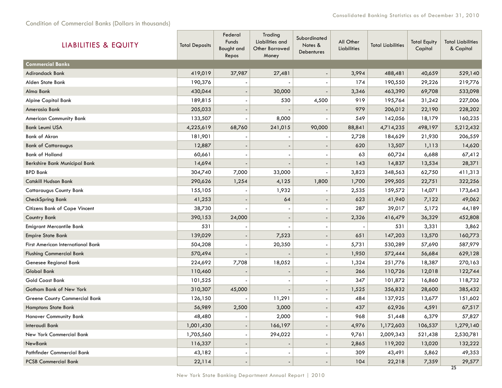| <b>LIABILITIES &amp; EQUITY</b>          | <b>Total Deposits</b> | Federal<br>Funds<br>Bought and<br>Repos | Trading<br>Liabilities and<br>Other Borrowed<br>Money | Subordinated<br>Notes &<br>Debentures | All Other<br>Liabilities | <b>Total Liabilities</b> | <b>Total Equity</b><br>Capital | <b>Total Liabilities</b><br>& Capital |
|------------------------------------------|-----------------------|-----------------------------------------|-------------------------------------------------------|---------------------------------------|--------------------------|--------------------------|--------------------------------|---------------------------------------|
| <b>Commercial Banks</b>                  |                       |                                         |                                                       |                                       |                          |                          |                                |                                       |
| <b>Adirondack Bank</b>                   | 419,019               | 37,987                                  | 27,481                                                | $\overline{\phantom{a}}$              | 3,994                    | 488,481                  | 40,659                         | 529,140                               |
| Alden State Bank                         | 190,376               |                                         |                                                       |                                       | 174                      | 190,550                  | 29,226                         | 219,776                               |
| Alma Bank                                | 430,044               |                                         | 30,000                                                |                                       | 3,346                    | 463,390                  | 69,708                         | 533,098                               |
| <b>Alpine Capital Bank</b>               | 189,815               | $\overline{\phantom{a}}$                | 530                                                   | 4,500                                 | 919                      | 195,764                  | 31,242                         | 227,006                               |
| Amerasia Bank                            | 205,033               |                                         |                                                       |                                       | 979                      | 206,012                  | 22,190                         | 228,202                               |
| <b>American Community Bank</b>           | 133,507               |                                         | 8,000                                                 |                                       | 549                      | 142,056                  | 18,179                         | 160,235                               |
| <b>Bank Leumi USA</b>                    | 4,225,619             | 68,760                                  | 241,015                                               | 90,000                                | 88,841                   | 4,714,235                | 498,197                        | 5,212,432                             |
| <b>Bank of Akron</b>                     | 181,901               |                                         |                                                       |                                       | 2,728                    | 184,629                  | 21,930                         | 206,559                               |
| <b>Bank of Cattaraugus</b>               | 12,887                |                                         |                                                       |                                       | 620                      | 13,507                   | 1,113                          | 14,620                                |
| <b>Bank of Holland</b>                   | 60,661                |                                         |                                                       |                                       | 63                       | 60,724                   | 6,688                          | 67,412                                |
| Berkshire Bank Municipal Bank            | 14,694                |                                         |                                                       |                                       | 143                      | 14,837                   | 13,534                         | 28,371                                |
| <b>BPD Bank</b>                          | 304,740               | 7,000                                   | 33,000                                                |                                       | 3,823                    | 348,563                  | 62,750                         | 411,313                               |
| <b>Catskill Hudson Bank</b>              | 290,626               | 1,254                                   | 4,125                                                 | 1,800                                 | 1,700                    | 299,505                  | 22,751                         | 322,256                               |
| <b>Cattaraugus County Bank</b>           | 155,105               |                                         | 1,932                                                 |                                       | 2,535                    | 159,572                  | 14,071                         | 173,643                               |
| <b>CheckSpring Bank</b>                  | 41,253                |                                         | 64                                                    |                                       | 623                      | 41,940                   | 7,122                          | 49,062                                |
| <b>Citizens Bank of Cape Vincent</b>     | 38,730                |                                         |                                                       |                                       | 287                      | 39,017                   | 5,172                          | 44,189                                |
| <b>Country Bank</b>                      | 390,153               | 24,000                                  |                                                       | -                                     | 2,326                    | 416,479                  | 36,329                         | 452,808                               |
| Emigrant Mercantile Bank                 | 531                   |                                         |                                                       |                                       |                          | 531                      | 3,331                          | 3,862                                 |
| <b>Empire State Bank</b>                 | 139,029               | $\overline{\phantom{a}}$                | 7,523                                                 |                                       | 651                      | 147,203                  | 13,570                         | 160,773                               |
| <b>First American International Bank</b> | 504,208               | $\overline{\phantom{a}}$                | 20,350                                                | $\overline{\phantom{a}}$              | 5,731                    | 530,289                  | 57,690                         | 587,979                               |
| <b>Flushing Commercial Bank</b>          | 570,494               |                                         |                                                       |                                       | 1,950                    | 572,444                  | 56,684                         | 629,128                               |
| Genesee Regional Bank                    | 224,692               | 7,708                                   | 18,052                                                |                                       | 1,324                    | 251,776                  | 18,387                         | 270,163                               |
| <b>Global Bank</b>                       | 110,460               |                                         |                                                       | $\overline{\phantom{a}}$              | 266                      | 110,726                  | 12,018                         | 122,744                               |
| <b>Gold Coast Bank</b>                   | 101,525               |                                         |                                                       |                                       | 347                      | 101,872                  | 16,860                         | 118,732                               |
| Gotham Bank of New York                  | 310,307               | 45,000                                  |                                                       |                                       | 1,525                    | 356,832                  | 28,600                         | 385,432                               |
| Greene County Commercial Bank            | 126,150               |                                         | 11,291                                                |                                       | 484                      | 137,925                  | 13,677                         | 151,602                               |
| <b>Hamptons State Bank</b>               | 56,989                | 2,500                                   | 3,000                                                 |                                       | 437                      | 62,926                   | 4,591                          | 67,517                                |
| Hanover Community Bank                   | 48,480                | $\overline{\phantom{a}}$                | 2,000                                                 | $\overline{\phantom{a}}$              | 968                      | 51,448                   | 6,379                          | 57,827                                |
| Interaudi Bank                           | 1,001,430             |                                         | 166,197                                               |                                       | 4,976                    | 1,172,603                | 106,537                        | 1,279,140                             |
| New York Commercial Bank                 | 1,705,560             | $\qquad \qquad \blacksquare$            | 294,022                                               |                                       | 9,761                    | 2,009,343                | 521,438                        | 2,530,781                             |
| NewBank                                  | 116,337               | $\overline{\phantom{a}}$                |                                                       |                                       | 2,865                    | 119,202                  | 13,020                         | 132,222                               |
| Pathfinder Commercial Bank               | 43,182                | $\overline{\phantom{a}}$                |                                                       |                                       | 309                      | 43,491                   | 5,862                          | 49,353                                |
| <b>PCSB Commercial Bank</b>              | 22,114                |                                         |                                                       |                                       | 104                      | 22,218                   | 7,359                          | 29,577<br>25                          |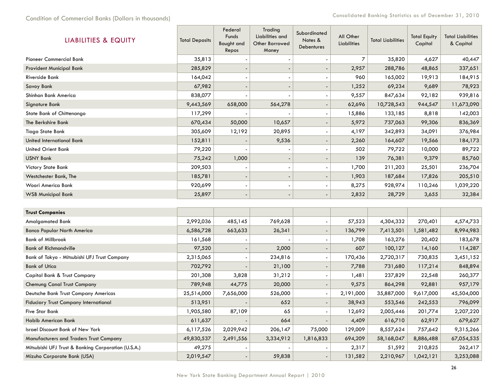$\overline{1}$ 

| <b>LIABILITIES &amp; EQUITY</b> | <b>Total Deposits</b> | Federal<br>Funds<br>Bought and<br>Repos | Trading<br>Liabilities and<br>Other Borrowed<br>Money | Subordinated<br>Notes &<br><b>Debentures</b> | All Other<br>Liabilities | <b>Total Liabilities</b> | <b>Total Equity</b><br>Capital | <b>Total Liabilities</b><br>& Capital |
|---------------------------------|-----------------------|-----------------------------------------|-------------------------------------------------------|----------------------------------------------|--------------------------|--------------------------|--------------------------------|---------------------------------------|
| Pioneer Commercial Bank         | 35,813                |                                         |                                                       |                                              | 7                        | 35,820                   | 4,627                          | 40,447                                |
| Provident Municipal Bank        | 285,829               |                                         |                                                       | $\overline{\phantom{a}}$                     | 2,957                    | 288,786                  | 48,865                         | 337,651                               |
| <b>Riverside Bank</b>           | 164,042               |                                         |                                                       |                                              | 960                      | 165,002                  | 19,913                         | 184,915                               |
| Savoy Bank                      | 67,982                |                                         |                                                       |                                              | 1,252                    | 69,234                   | 9,689                          | 78,923                                |
| Shinhan Bank America            | 838,077               |                                         |                                                       |                                              | 9,557                    | 847,634                  | 92,182                         | 939,816                               |
| Signature Bank                  | 9,443,569             | 658,000                                 | 564,278                                               | $\overline{\phantom{a}}$                     | 62,696                   | 10,728,543               | 944,547                        | 11,673,090                            |
| State Bank of Chittenango       | 117,299               |                                         |                                                       |                                              | 15,886                   | 133,185                  | 8,818                          | 142,003                               |
| The Berkshire Bank              | 670,434               | 50,000                                  | 10,657                                                | $\overline{\phantom{a}}$                     | 5,972                    | 737,063                  | 99,306                         | 836,369                               |
| <b>Tioga State Bank</b>         | 305,609               | 12,192                                  | 20,895                                                |                                              | 4,197                    | 342,893                  | 34,091                         | 376,984                               |
| United International Bank       | 152,811               |                                         | 9,536                                                 |                                              | 2,260                    | 164,607                  | 19,566                         | 184,173                               |
| <b>United Orient Bank</b>       | 79,220                |                                         |                                                       | $\overline{\phantom{a}}$                     | 502                      | 79,722                   | 10,000                         | 89,722                                |
| <b>USNY Bank</b>                | 75,242                | 1,000                                   |                                                       |                                              | 139                      | 76,381                   | 9,379                          | 85,760                                |
| Victory State Bank              | 209,503               | -                                       |                                                       | $\overline{\phantom{a}}$                     | 1,700                    | 211,203                  | 25,501                         | 236,704                               |
| Westchester Bank, The           | 185,781               | -                                       |                                                       |                                              | 1,903                    | 187,684                  | 17,826                         | 205,510                               |
| Woori America Bank              | 920,699               | $\overline{\phantom{a}}$                |                                                       |                                              | 8,275                    | 928,974                  | 110,246                        | 1,039,220                             |
| <b>WSB Municipal Bank</b>       | 25,897                | $\overline{\phantom{a}}$                | $\overline{\phantom{a}}$                              | $\overline{\phantom{a}}$                     | 2,832                    | 28,729                   | 3,655                          | 32,384                                |
|                                 |                       |                                         |                                                       |                                              |                          |                          |                                |                                       |
| <b>Trust Companies</b>          |                       |                                         |                                                       |                                              |                          |                          |                                |                                       |
| <b>Amalgamated Bank</b>         | 2,992,036             | 485,145                                 | 769,628                                               |                                              | 57,523                   | 4,304,332                | 270,401                        | 4,574,733                             |
|                                 |                       |                                         |                                                       |                                              |                          |                          |                                |                                       |

| <b>Amalgamated Bank</b>                             | 2,992,036  | 485,145                  | 769,628   | $\overline{\phantom{a}}$ | 57,523    | 4,304,332  | 270,401    | 4,574,733  |
|-----------------------------------------------------|------------|--------------------------|-----------|--------------------------|-----------|------------|------------|------------|
| <b>Banco Popular North America</b>                  | 6,586,728  | 663,633                  | 26,341    | $\overline{\phantom{a}}$ | 136,799   | 7,413,501  | 381,482, ا | 8,994,983  |
| <b>Bank of Millbrook</b>                            | 161,568    |                          |           | -                        | 1,708     | 163,276    | 20,402     | 183,678    |
| <b>Bank of Richmondville</b>                        | 97,520     |                          | 2,000     |                          | 607       | 100,127    | 14,160     | 114,287    |
| Bank of Tokyo - Mitsubishi UFJ Trust Company        | 2,315,065  | $\overline{\phantom{a}}$ | 234,816   | $\overline{\phantom{a}}$ | 170,436   | 2,720,317  | 730,835    | 3,451,152  |
| <b>Bank of Utica</b>                                | 702,792    |                          | 21,100    | -                        | 7,788     | 731,680    | 117,214    | 848,894    |
| Capital Bank & Trust Company                        | 201,308    | 3,828                    | 31,212    |                          | 1,481     | 237,829    | 22,548     | 260,377    |
| Chemung Canal Trust Company                         | 789,948    | 44,775                   | 20,000    | $\overline{\phantom{a}}$ | 9,575     | 864,298    | 92,881     | 957,179    |
| Deutsche Bank Trust Company Americas                | 25,514,000 | 7,656,000                | 526,000   | $\overline{\phantom{a}}$ | 2,191,000 | 35,887,000 | 9,617,000  | 45,504,000 |
| <b>Fiduciary Trust Company International</b>        | 513,951    |                          | 652       | $-$                      | 38,943    | 553,546    | 242,553    | 796,099    |
| <b>Five Star Bank</b>                               | 1,905,580  | 87,109                   | 65        |                          | 12,692    | 2,005,446  | 201,774    | 2,207,220  |
| Habib American Bank                                 | 611,637    |                          | 664       |                          | 4,409     | 616,710    | 62,917     | 679,627    |
| <b>Israel Discount Bank of New York</b>             | 6,117,526  | 2,029,942                | 206,147   | 75,000                   | 129,009   | 8,557,624  | 757,642    | 9,315,266  |
| Manufacturers and Traders Trust Company             | 49,830,537 | 2,491,556                | 3,334,912 | 1,816,833                | 694,209   | 58,168,047 | 8,886,488  | 67,054,535 |
| Mitsubishi UFJ Trust & Banking Corporation (U.S.A.) | 49,275     |                          |           |                          | 2,317     | 51,592     | 210,825    | 262,417    |
| Mizuho Corporate Bank (USA)                         | 2,019,547  |                          | 59,838    | $\overline{\phantom{0}}$ | 131,582   | 2,210,967  | 1,042,121  | 3,253,088  |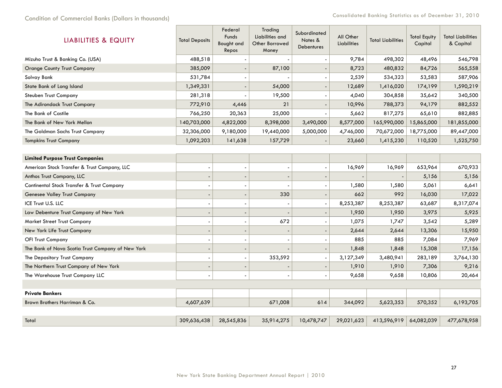| <b>LIABILITIES &amp; EQUITY</b>                   | <b>Total Deposits</b>    | Federal<br><b>Funds</b><br>Bought and<br>Repos | Trading<br>Liabilities and<br>Other Borrowed<br>Money | Subordinated<br>Notes &<br><b>Debentures</b> | All Other<br>Liabilities | <b>Total Liabilities</b> | <b>Total Equity</b><br>Capital | <b>Total Liabilities</b><br>& Capital |
|---------------------------------------------------|--------------------------|------------------------------------------------|-------------------------------------------------------|----------------------------------------------|--------------------------|--------------------------|--------------------------------|---------------------------------------|
| Mizuho Trust & Banking Co. (USA)                  | 488,518                  | $\overline{\phantom{a}}$                       |                                                       |                                              | 9,784                    | 498,302                  | 48,496                         | 546,798                               |
| <b>Orange County Trust Company</b>                | 385,009                  | $\overline{\phantom{a}}$                       | 87,100                                                |                                              | 8,723                    | 480,832                  | 84,726                         | 565,558                               |
| Solvay Bank                                       | 531,784                  | $\overline{\phantom{a}}$                       |                                                       |                                              | 2,539                    | 534,323                  | 53,583                         | 587,906                               |
| State Bank of Long Island                         | 1,349,331                | $\overline{a}$                                 | 54,000                                                |                                              | 12,689                   | 1,416,020                | 174,199                        | 1,590,219                             |
| Steuben Trust Company                             | 281,318                  |                                                | 19,500                                                |                                              | 4,040                    | 304,858                  | 35,642                         | 340,500                               |
| The Adirondack Trust Company                      | 772,910                  | 4,446                                          | 21                                                    |                                              | 10,996                   | 788,373                  | 94,179                         | 882,552                               |
| The Bank of Castile                               | 766,250                  | 20,363                                         | 25,000                                                | $\overline{\phantom{a}}$                     | 5,662                    | 817,275                  | 65,610                         | 882,885                               |
| The Bank of New York Mellon                       | 140,703,000              | 4,822,000                                      | 8,398,000                                             | 3,490,000                                    | 8,577,000                | 165,990,000              | 15,865,000                     | 181,855,000                           |
| The Goldman Sachs Trust Company                   | 32,306,000               | 9,180,000                                      | 19,440,000                                            | 5,000,000                                    | 4,746,000                | 70,672,000               | 18,775,000                     | 89,447,000                            |
| <b>Tompkins Trust Company</b>                     | 1,092,203                | 141,638                                        | 157,729                                               |                                              | 23,660                   | 1,415,230                | 110,520                        | 1,525,750                             |
|                                                   |                          |                                                |                                                       |                                              |                          |                          |                                |                                       |
| <b>Limited Purpose Trust Companies</b>            |                          |                                                |                                                       |                                              |                          |                          |                                |                                       |
| American Stock Transfer & Trust Company, LLC      | $\overline{\phantom{a}}$ | $\overline{\phantom{a}}$                       | $\overline{\phantom{a}}$                              |                                              | 16,969                   | 16,969                   | 653,964                        | 670,933                               |
| Anthos Trust Company, LLC                         |                          | $\overline{\phantom{a}}$                       |                                                       |                                              |                          |                          | 5,156                          | 5,156                                 |
| Continental Stock Transfer & Trust Company        | $\overline{\phantom{a}}$ | $\blacksquare$                                 | Ĭ.                                                    | $\overline{\phantom{a}}$                     | 1,580                    | 1,580                    | 5,061                          | 6,641                                 |
| Genesee Valley Trust Company                      |                          | $\overline{\phantom{a}}$                       | 330                                                   |                                              | 662                      | 992                      | 16,030                         | 17,022                                |
| ICE Trust U.S. LLC                                | $\overline{\phantom{a}}$ | $\overline{\phantom{a}}$                       | $\blacksquare$                                        | $\overline{\phantom{a}}$                     | 8,253,387                | 8,253,387                | 63,687                         | 8,317,074                             |
| Law Debenture Trust Company of New York           |                          |                                                |                                                       |                                              | 1,950                    | 1,950                    | 3,975                          | 5,925                                 |
| <b>Market Street Trust Company</b>                | $\overline{\phantom{a}}$ | $\overline{\phantom{a}}$                       | 672                                                   | $\overline{\phantom{a}}$                     | 1,075                    | 1,747                    | 3,542                          | 5,289                                 |
| New York Life Trust Company                       |                          | $\overline{\phantom{a}}$                       |                                                       |                                              | 2,644                    | 2,644                    | 13,306                         | 15,950                                |
| OFI Trust Company                                 | $\overline{\phantom{a}}$ | $\overline{\phantom{a}}$                       | ÷,                                                    |                                              | 885                      | 885                      | 7,084                          | 7,969                                 |
| The Bank of Nova Scotia Trust Company of New York |                          | ÷,                                             |                                                       |                                              | 1,848                    | 1,848                    | 15,308                         | 17,156                                |
| The Depository Trust Company                      | $\overline{\phantom{a}}$ | $\overline{\phantom{a}}$                       | 353,592                                               | $\overline{\phantom{a}}$                     | 3,127,349                | 3,480,941                | 283,189                        | 3,764,130                             |
| The Northern Trust Company of New York            |                          | ÷,                                             |                                                       |                                              | 1,910                    | 1,910                    | 7,306                          | 9,216                                 |
| The Warehouse Trust Company LLC                   | $\overline{\phantom{a}}$ | $\overline{\phantom{a}}$                       | $\blacksquare$                                        | $\overline{\phantom{a}}$                     | 9,658                    | 9,658                    | 10,806                         | 20,464                                |
|                                                   |                          |                                                |                                                       |                                              |                          |                          |                                |                                       |
| <b>Private Bankers</b>                            |                          |                                                |                                                       |                                              |                          |                          |                                |                                       |
| Brown Brothers Harriman & Co.                     | 4,607,639                |                                                | 671,008                                               | 614                                          | 344,092                  | 5,623,353                | 570,352                        | 6,193,705                             |
|                                                   |                          |                                                |                                                       |                                              |                          |                          |                                |                                       |
| Total                                             | 309,636,438              | 28,545,836                                     | 35,914,275                                            | 10,478,747                                   | 29,021,623               | 413,596,919              | 64,082,039                     | 477,678,958                           |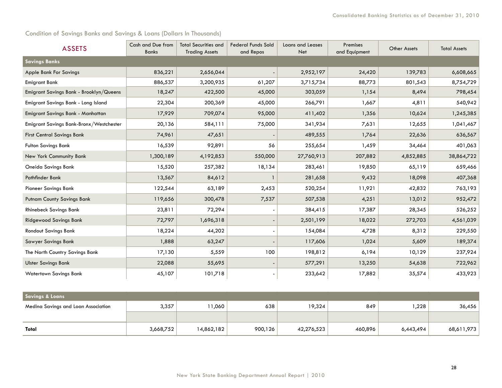Condition of Savings Banks and Savings & Loans (Dollars In Thousands)

| <b>ASSETS</b>                           | Cash and Due from<br><b>Banks</b> | <b>Total Securities and</b><br><b>Trading Assets</b> | Federal Funds Sold<br>and Repos | Loans and Leases<br>Net | Premises<br>and Equipment | <b>Other Assets</b> | <b>Total Assets</b> |
|-----------------------------------------|-----------------------------------|------------------------------------------------------|---------------------------------|-------------------------|---------------------------|---------------------|---------------------|
| <b>Savings Banks</b>                    |                                   |                                                      |                                 |                         |                           |                     |                     |
| Apple Bank For Savings                  | 836,221                           | 2,656,044                                            |                                 | 2,952,197               | 24,420                    | 139,783             | 6,608,665           |
| <b>Emigrant Bank</b>                    | 886,537                           | 3,200,935                                            | 61,207                          | 3,715,734               | 88,773                    | 801,543             | 8,754,729           |
| Emigrant Savings Bank - Brooklyn/Queens | 18,247                            | 422,500                                              | 45,000                          | 303,059                 | 1,154                     | 8,494               | 798,454             |
| Emigrant Savings Bank - Long Island     | 22,304                            | 200,369                                              | 45,000                          | 266,791                 | 1,667                     | 4,811               | 540,942             |
| Emigrant Savings Bank - Manhattan       | 17,929                            | 709,074                                              | 95,000                          | 411,402                 | 1,356                     | 10,624              | 1,245,385           |
| Emigrant Savings Bank-Bronx/Westchester | 20,136                            | 584,111                                              | 75,000                          | 341,934                 | 7,631                     | 12,655              | 1,041,467           |
| <b>First Central Savings Bank</b>       | 74,961                            | 47,651                                               |                                 | 489,555                 | 1,764                     | 22,636              | 636,567             |
| <b>Fulton Savings Bank</b>              | 16,539                            | 92,891                                               | 56                              | 255,654                 | 1,459                     | 34,464              | 401,063             |
| New York Community Bank                 | 1,300,189                         | 4,192,853                                            | 550,000                         | 27,760,913              | 207,882                   | 4,852,885           | 38,864,722          |
| Oneida Savings Bank                     | 15,520                            | 257,382                                              | 18,134                          | 283,461                 | 19,850                    | 65,119              | 659,466             |
| Pathfinder Bank                         | 13,567                            | 84,612                                               | 1                               | 281,658                 | 9,432                     | 18,098              | 407,368             |
| Pioneer Savings Bank                    | 122,544                           | 63,189                                               | 2,453                           | 520,254                 | 11,921                    | 42,832              | 763,193             |
| <b>Putnam County Savings Bank</b>       | 119,656                           | 300,478                                              | 7,537                           | 507,538                 | 4,251                     | 13,012              | 952,472             |
| <b>Rhinebeck Savings Bank</b>           | 23,811                            | 72,294                                               |                                 | 384,415                 | 17,387                    | 28,345              | 526,252             |
| <b>Ridgewood Savings Bank</b>           | 72,797                            | 1,696,318                                            |                                 | 2,501,199               | 18,022                    | 272,703             | 4,561,039           |
| Rondout Savings Bank                    | 18,224                            | 44,202                                               |                                 | 154,084                 | 4,728                     | 8,312               | 229,550             |
| <b>Sawyer Savings Bank</b>              | 1,888                             | 63,247                                               |                                 | 117,606                 | 1,024                     | 5,609               | 189,374             |
| The North Country Savings Bank          | 17,130                            | 5,559                                                | 100                             | 198,812                 | 6,194                     | 10,129              | 237,924             |
| <b>Ulster Savings Bank</b>              | 22,088                            | 55,695                                               |                                 | 577,291                 | 13,250                    | 54,638              | 722,962             |
| <b>Watertown Savings Bank</b>           | 45,107                            | 101,718                                              |                                 | 233,642                 | 17,882                    | 35,574              | 433,923             |
|                                         |                                   |                                                      |                                 |                         |                           |                     |                     |
| <b>Savings &amp; Loans</b>              |                                   |                                                      |                                 |                         |                           |                     |                     |
| Medina Savings and Loan Association     | 3,357                             | 11,060                                               | 638                             | 19,324                  | 849                       | 1,228               | 36,456              |
|                                         |                                   |                                                      |                                 |                         |                           |                     |                     |
|                                         |                                   |                                                      |                                 |                         |                           |                     |                     |

**Total** 3,668,752 14,862,182 900,126 42,276,523 460,896 6,443,494 68,611,973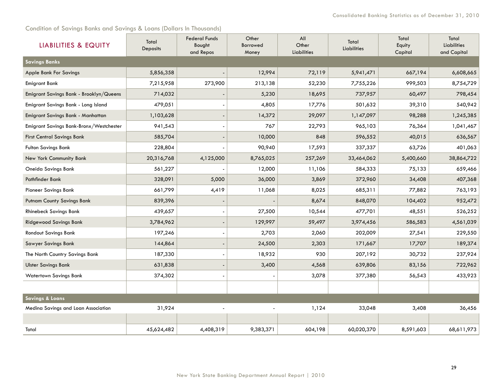Condition of Savings Banks and Savings & Loans (Dollars In Thousands)

| <b>LIABILITIES &amp; EQUITY</b>         | Total<br><b>Deposits</b> | <b>Federal Funds</b><br>Bought<br>and Repos | Other<br><b>Borrowed</b><br>Money | All<br>Other<br>Liabilities | Total<br>Liabilities | Total<br>Equity<br>Capital | Total<br><b>Liabilities</b><br>and Capital |
|-----------------------------------------|--------------------------|---------------------------------------------|-----------------------------------|-----------------------------|----------------------|----------------------------|--------------------------------------------|
| <b>Savings Banks</b>                    |                          |                                             |                                   |                             |                      |                            |                                            |
| Apple Bank For Savings                  | 5,856,358                |                                             | 12,994                            | 72,119                      | 5,941,471            | 667,194                    | 6,608,665                                  |
| Emigrant Bank                           | 7,215,958                | 273,900                                     | 213,138                           | 52,230                      | 7,755,226            | 999,503                    | 8,754,729                                  |
| Emigrant Savings Bank - Brooklyn/Queens | 714,032                  |                                             | 5,230                             | 18,695                      | 737,957              | 60,497                     | 798,454                                    |
| Emigrant Savings Bank - Long Island     | 479,051                  |                                             | 4,805                             | 17,776                      | 501,632              | 39,310                     | 540,942                                    |
| Emigrant Savings Bank - Manhattan       | 1,103,628                |                                             | 14,372                            | 29,097                      | 1,147,097            | 98,288                     | 1,245,385                                  |
| Emigrant Savings Bank-Bronx/Westchester | 941,543                  |                                             | 767                               | 22,793                      | 965,103              | 76,364                     | 1,041,467                                  |
| <b>First Central Savings Bank</b>       | 585,704                  |                                             | 10,000                            | 848                         | 596,552              | 40,015                     | 636,567                                    |
| <b>Fulton Savings Bank</b>              | 228,804                  |                                             | 90,940                            | 17,593                      | 337,337              | 63,726                     | 401,063                                    |
| New York Community Bank                 | 20,316,768               | 4,125,000                                   | 8,765,025                         | 257,269                     | 33,464,062           | 5,400,660                  | 38,864,722                                 |
| Oneida Savings Bank                     | 561,227                  |                                             | 12,000                            | 11,106                      | 584,333              | 75,133                     | 659,466                                    |
| Pathfinder Bank                         | 328,091                  | 5,000                                       | 36,000                            | 3,869                       | 372,960              | 34,408                     | 407,368                                    |
| <b>Pioneer Savings Bank</b>             | 661,799                  | 4,419                                       | 11,068                            | 8,025                       | 685,311              | 77,882                     | 763,193                                    |
| <b>Putnam County Savings Bank</b>       | 839,396                  |                                             |                                   | 8,674                       | 848,070              | 104,402                    | 952,472                                    |
| <b>Rhinebeck Savings Bank</b>           | 439,657                  |                                             | 27,500                            | 10,544                      | 477,701              | 48,551                     | 526,252                                    |
| <b>Ridgewood Savings Bank</b>           | 3,784,962                |                                             | 129,997                           | 59,497                      | 3,974,456            | 586,583                    | 4,561,039                                  |
| Rondout Savings Bank                    | 197,246                  |                                             | 2,703                             | 2,060                       | 202,009              | 27,541                     | 229,550                                    |
| Sawyer Savings Bank                     | 144,864                  |                                             | 24,500                            | 2,303                       | 171,667              | 17,707                     | 189,374                                    |
| The North Country Savings Bank          | 187,330                  |                                             | 18,932                            | 930                         | 207,192              | 30,732                     | 237,924                                    |
| <b>Ulster Savings Bank</b>              | 631,838                  |                                             | 3,400                             | 4,568                       | 639,806              | 83,156                     | 722,962                                    |
| Watertown Savings Bank                  | 374,302                  |                                             |                                   | 3,078                       | 377,380              | 56,543                     | 433,923                                    |
|                                         |                          |                                             |                                   |                             |                      |                            |                                            |
| <b>Savings &amp; Loans</b>              |                          |                                             |                                   |                             |                      |                            |                                            |
| Medina Savings and Loan Association     | 31,924                   |                                             |                                   | 1,124                       | 33,048               | 3,408                      | 36,456                                     |
|                                         |                          |                                             |                                   |                             |                      |                            |                                            |
| Total                                   | 45,624,482               | 4,408,319                                   | 9,383,371                         | 604,198                     | 60,020,370           | 8,591,603                  | 68,611,973                                 |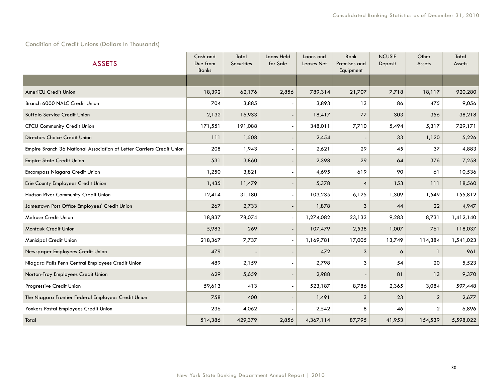## Condition of Credit Unions (Dollars In Thousands)

| <b>ASSETS</b>                                                         | Cash and<br>Due from<br><b>Banks</b> | Total<br><b>Securities</b> | <b>Loans Held</b><br>for Sale | Loans and<br><b>Leases Net</b> | <b>Bank</b><br>Premises and<br>Equipment | <b>NCUSIF</b><br>Deposit | Other<br>Assets | Total<br><b>Assets</b> |
|-----------------------------------------------------------------------|--------------------------------------|----------------------------|-------------------------------|--------------------------------|------------------------------------------|--------------------------|-----------------|------------------------|
|                                                                       |                                      |                            |                               |                                |                                          |                          |                 |                        |
| <b>AmeriCU Credit Union</b>                                           | 18,392                               | 62,176                     | 2,856                         | 789,314                        | 21,707                                   | 7,718                    | 18,117          | 920,280                |
| Branch 6000 NALC Credit Union                                         | 704                                  | 3,885                      |                               | 3,893                          | 13                                       | 86                       | 475             | 9,056                  |
| <b>Buffalo Service Credit Union</b>                                   | 2,132                                | 16,933                     |                               | 18,417                         | 77                                       | 303                      | 356             | 38,218                 |
| <b>CFCU Community Credit Union</b>                                    | 171,551                              | 191,088                    | $\overline{\phantom{a}}$      | 348,011                        | 7,710                                    | 5,494                    | 5,317           | 729,171                |
| Directors Choice Credit Union                                         | 111                                  | 1,508                      |                               | 2,454                          |                                          | 33                       | 1,120           | 5,226                  |
| Empire Branch 36 National Association of Letter Carriers Credit Union | 208                                  | 1,943                      | $\overline{\phantom{a}}$      | 2,621                          | 29                                       | 45                       | 37              | 4,883                  |
| <b>Empire State Credit Union</b>                                      | 531                                  | 3,860                      |                               | 2,398                          | 29                                       | 64                       | 376             | 7,258                  |
| Encompass Niagara Credit Union                                        | 1,250                                | 3,821                      | $\overline{\phantom{a}}$      | 4,695                          | 619                                      | 90                       | 61              | 10,536                 |
| Erie County Employees Credit Union                                    | 1,435                                | 11,479                     |                               | 5,378                          | $\overline{4}$                           | 153                      | 111             | 18,560                 |
| Hudson River Community Credit Union                                   | 12,414                               | 31,180                     | $\overline{\phantom{a}}$      | 103,235                        | 6,125                                    | 1,309                    | 1,549           | 155,812                |
| Jamestown Post Office Employees' Credit Union                         | 267                                  | 2,733                      | $\overline{\phantom{a}}$      | 1,878                          | 3                                        | 44                       | 22              | 4,947                  |
| Melrose Credit Union                                                  | 18,837                               | 78,074                     | $\overline{\phantom{a}}$      | 1,274,082                      | 23,133                                   | 9,283                    | 8,731           | 1,412,140              |
| Montauk Credit Union                                                  | 5,983                                | 269                        |                               | 107,479                        | 2,538                                    | 1,007                    | 761             | 118,037                |
| Municipal Credit Union                                                | 218,367                              | 7,737                      | $\blacksquare$                | 1,169,781                      | 17,005                                   | 13,749                   | 114,384         | 1,541,023              |
| Newspaper Employees Credit Union                                      | 479                                  |                            |                               | 472                            | $\mathbf{3}$                             | 6                        | $\mathbf{1}$    | 961                    |
| Niagara Falls Penn Central Employees Credit Union                     | 489                                  | 2,159                      |                               | 2,798                          | 3                                        | 54                       | 20              | 5,523                  |
| Norton-Troy Employees Credit Union                                    | 629                                  | 5,659                      |                               | 2,988                          |                                          | 81                       | 13              | 9,370                  |
| Progressive Credit Union                                              | 59,613                               | 413                        |                               | 523,187                        | 8,786                                    | 2,365                    | 3,084           | 597,448                |
| The Niagara Frontier Federal Employees Credit Union                   | 758                                  | 400                        | $\overline{\phantom{a}}$      | 1,491                          | 3                                        | 23                       | $\overline{2}$  | 2,677                  |
| Yonkers Postal Employees Credit Union                                 | 236                                  | 4,062                      |                               | 2,542                          | 8                                        | 46                       | $\overline{2}$  | 6,896                  |
| Total                                                                 | 514,386                              | 429,379                    | 2,856                         | 4,367,114                      | 87,795                                   | 41,953                   | 154,539         | 5,598,022              |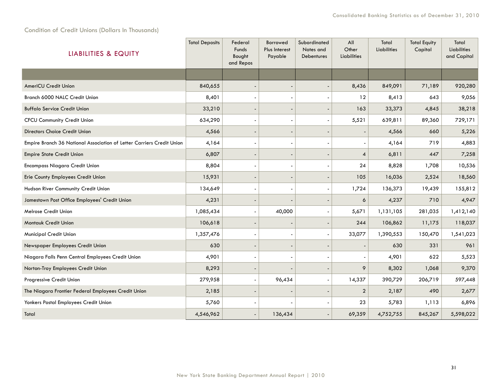Condition of Credit Unions (Dollars In Thousands)

| <b>LIABILITIES &amp; EQUITY</b>                                       | <b>Total Deposits</b> | Federal<br>Funds<br>Bought<br>and Repos | Borrowed<br>Plus Interest<br>Payable | Subordinated<br>Notes and<br><b>Debentures</b> | All<br>Other<br><b>Liabilities</b> | Total<br>Liabilities | <b>Total Equity</b><br>Capital | Total<br>Liabilities<br>and Capital |
|-----------------------------------------------------------------------|-----------------------|-----------------------------------------|--------------------------------------|------------------------------------------------|------------------------------------|----------------------|--------------------------------|-------------------------------------|
|                                                                       |                       |                                         |                                      |                                                |                                    |                      |                                |                                     |
| <b>AmeriCU Credit Union</b>                                           | 840,655               |                                         |                                      |                                                | 8,436                              | 849,091              | 71,189                         | 920,280                             |
| Branch 6000 NALC Credit Union                                         | 8,401                 |                                         |                                      |                                                | 12                                 | 8,413                | 643                            | 9,056                               |
| <b>Buffalo Service Credit Union</b>                                   | 33,210                |                                         | $\overline{\phantom{a}}$             |                                                | 163                                | 33,373               | 4,845                          | 38,218                              |
| <b>CFCU Community Credit Union</b>                                    | 634,290               |                                         | $\overline{\phantom{a}}$             |                                                | 5,521                              | 639,811              | 89,360                         | 729,171                             |
| Directors Choice Credit Union                                         | 4,566                 |                                         |                                      |                                                |                                    | 4,566                | 660                            | 5,226                               |
| Empire Branch 36 National Association of Letter Carriers Credit Union | 4,164                 |                                         |                                      |                                                |                                    | 4,164                | 719                            | 4,883                               |
| <b>Empire State Credit Union</b>                                      | 6,807                 |                                         |                                      |                                                | $\overline{4}$                     | 6,811                | 447                            | 7,258                               |
| Encompass Niagara Credit Union                                        | 8,804                 |                                         |                                      |                                                | 24                                 | 8,828                | 1,708                          | 10,536                              |
| Erie County Employees Credit Union                                    | 15,931                |                                         |                                      |                                                | 105                                | 16,036               | 2,524                          | 18,560                              |
| Hudson River Community Credit Union                                   | 134,649               |                                         |                                      |                                                | 1,724                              | 136,373              | 19,439                         | 155,812                             |
| Jamestown Post Office Employees' Credit Union                         | 4,231                 |                                         |                                      |                                                | 6                                  | 4,237                | 710                            | 4,947                               |
| Melrose Credit Union                                                  | 1,085,434             | $\blacksquare$                          | 40,000                               |                                                | 5,671                              | 1,131,105            | 281,035                        | 1,412,140                           |
| Montauk Credit Union                                                  | 106,618               |                                         |                                      | $\overline{\phantom{a}}$                       | 244                                | 106,862              | 11,175                         | 118,037                             |
| Municipal Credit Union                                                | 1,357,476             | $\overline{\phantom{a}}$                | $\overline{\phantom{a}}$             | $\overline{\phantom{a}}$                       | 33,077                             | 1,390,553            | 150,470                        | 1,541,023                           |
| Newspaper Employees Credit Union                                      | 630                   | $\overline{\phantom{a}}$                | $\overline{\phantom{a}}$             |                                                |                                    | 630                  | 331                            | 961                                 |
| Niagara Falls Penn Central Employees Credit Union                     | 4,901                 | $\overline{\phantom{a}}$                | $\overline{\phantom{a}}$             | $\overline{\phantom{a}}$                       |                                    | 4,901                | 622                            | 5,523                               |
| Norton-Troy Employees Credit Union                                    | 8,293                 |                                         |                                      |                                                | 9                                  | 8,302                | 1,068                          | 9,370                               |
| Progressive Credit Union                                              | 279,958               | $\overline{\phantom{a}}$                | 96,434                               |                                                | 14,337                             | 390,729              | 206,719                        | 597,448                             |
| The Niagara Frontier Federal Employees Credit Union                   | 2,185                 |                                         |                                      |                                                | $\overline{2}$                     | 2,187                | 490                            | 2,677                               |
| Yonkers Postal Employees Credit Union                                 | 5,760                 |                                         |                                      |                                                | 23                                 | 5,783                | 1,113                          | 6,896                               |
| Total                                                                 | 4,546,962             |                                         | 136,434                              |                                                | 69,359                             | 4,752,755            | 845,267                        | 5,598,022                           |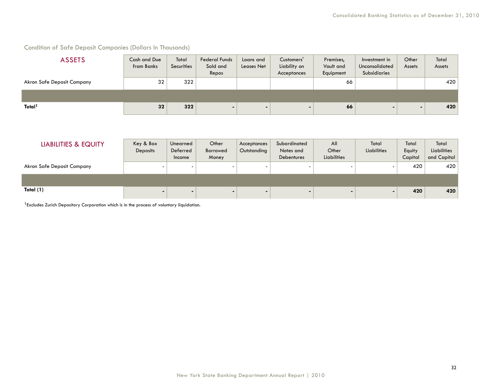#### Condition of Safe Deposit Companies (Dollars In Thousands)

| <b>ASSETS</b>              | Cash and Due<br>from Banks | Total<br>Securities | <b>Federal Funds</b><br>Sold and<br>Repos | Loans and<br>Leases Net | Customers'<br>Liability on<br>Acceptances | Premises,<br>Vault and<br>Equipment | Investment in<br>Unconsolidated<br>Subsidiaries | Other<br>Assets | Total<br>Assets |
|----------------------------|----------------------------|---------------------|-------------------------------------------|-------------------------|-------------------------------------------|-------------------------------------|-------------------------------------------------|-----------------|-----------------|
| Akron Safe Deposit Company | 32                         | 322                 |                                           |                         |                                           | 66                                  |                                                 |                 | 420             |
|                            |                            |                     |                                           |                         |                                           |                                     |                                                 |                 |                 |
| Total <sup>1</sup>         | 32                         | 322                 | $\blacksquare$                            |                         |                                           | 66                                  | -                                               |                 | 420             |

| <b>LIABILITIES &amp; EQUITY</b>   | Key & Box<br>Deposits | Unearned<br>Deferred<br>Income | Other<br>Borrowed<br>Money | Acceptances<br>Outstanding | Subordinated<br>Notes and<br><b>Debentures</b> | All<br>Other<br>Liabilities | Total<br>Liabilities | Total<br>Equity<br>Capital | Total<br>Liabilities<br>and Capital |
|-----------------------------------|-----------------------|--------------------------------|----------------------------|----------------------------|------------------------------------------------|-----------------------------|----------------------|----------------------------|-------------------------------------|
| <b>Akron Safe Deposit Company</b> |                       |                                |                            |                            |                                                |                             | -                    | 420                        | 420                                 |
|                                   |                       |                                |                            |                            |                                                |                             |                      |                            |                                     |
| Total (1)                         | $\blacksquare$        | $\sim$                         | $\sim$                     |                            |                                                |                             |                      | 420                        | 420                                 |

1Excludes Zurich Depository Corporation which is in the process of voluntary liquidation.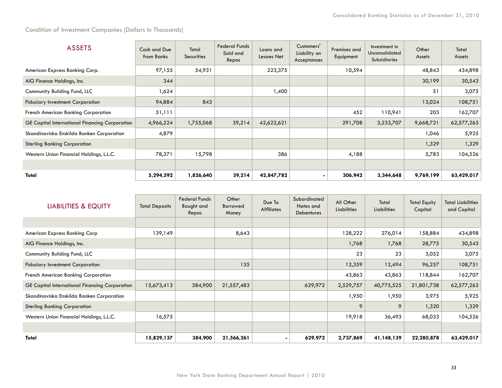Condition of Investment Companies (Dollars In Thousands)

| <b>ASSETS</b>                                         | Cash and Due<br>from Banks | Total<br><b>Securities</b> | <b>Federal Funds</b><br>Sold and<br>Repos | Loans and<br>Leases Net | Customers'<br>Liability on<br>Acceptances | Premises and<br>Equipment | Investment in<br>Unconsolidated<br><b>Subsidiaries</b> | Other<br>Assets | Total<br>Assets |
|-------------------------------------------------------|----------------------------|----------------------------|-------------------------------------------|-------------------------|-------------------------------------------|---------------------------|--------------------------------------------------------|-----------------|-----------------|
| American Express Banking Corp.                        | 97,155                     | 54,931                     |                                           | 223,375                 |                                           | 10,594                    |                                                        | 48,843          | 434,898         |
| AIG Finance Holdings, Inc.                            | 344                        |                            |                                           |                         |                                           |                           |                                                        | 30,199          | 30,543          |
| Community Building Fund, LLC                          | 1,624                      |                            |                                           | 1,400                   |                                           |                           |                                                        | 51              | 3,075           |
| <b>Fiduciary Investment Corporation</b>               | 94,884                     | 843                        |                                           |                         |                                           |                           |                                                        | 13,024          | 108,751         |
| French American Banking Corporation                   | 51,111                     |                            |                                           |                         |                                           | 452                       | 110,941                                                | 203             | 162,707         |
| <b>GE Capital International Financing Corporation</b> | 4,966,224                  | 1,755,068                  | 39,214                                    | 42,622,621              |                                           | 291,708                   | 3,233,707                                              | 9,668,721       | 62,577,263      |
| Skandinaviska Enskilda Banken Corporation             | 4,879                      |                            |                                           |                         |                                           |                           |                                                        | 1,046           | 5,925           |
| <b>Sterling Banking Corporation</b>                   |                            |                            |                                           |                         |                                           |                           |                                                        | 1,329           | 1,329           |
| Western Union Financial Holdings, L.L.C.              | 78,371                     | 15,798                     |                                           | 386                     |                                           | 4,188                     |                                                        | 5,783           | 104,526         |
|                                                       |                            |                            |                                           |                         |                                           |                           |                                                        |                 |                 |
| Total                                                 | 5,294,592                  | 1,826,640                  | 39,214                                    | 42,847,782              |                                           | 306,942                   | 3,344,648                                              | 9,769,199       | 63,429,017      |

| LIABILITIES & EQUITY                                  | <b>Total Deposits</b> | <b>Federal Funds</b><br>Bought and<br>Repos | Other<br>Borrowed<br>Money | Due To<br><b>Affiliates</b> | Subordinated<br>Notes and<br><b>Debentures</b> | All Other<br>Liabilities | Total<br>Liabilities | <b>Total Equity</b><br>Capital | <b>Total Liabilities</b><br>and Capital |
|-------------------------------------------------------|-----------------------|---------------------------------------------|----------------------------|-----------------------------|------------------------------------------------|--------------------------|----------------------|--------------------------------|-----------------------------------------|
|                                                       |                       |                                             |                            |                             |                                                |                          |                      |                                |                                         |
| American Express Banking Corp                         | 139,149               |                                             | 8,643                      |                             |                                                | 128,222                  | 276,014              | 158,884                        | 434,898                                 |
| AIG Finance Holdings, Inc.                            |                       |                                             |                            |                             |                                                | 1,768                    | 1,768                | 28,775                         | 30,543                                  |
| Community Building Fund, LLC                          |                       |                                             |                            |                             |                                                | 23                       | 23                   | 3,052                          | 3,075                                   |
| <b>Fiduciary Investment Corporation</b>               |                       |                                             | 135                        |                             |                                                | 12,359                   | 12,494               | 96,257                         | 108,751                                 |
| French American Banking Corporation                   |                       |                                             |                            |                             |                                                | 43,863                   | 43,863               | 118,844                        | 162,707                                 |
| <b>GE Capital International Financing Corporation</b> | 15,673,413            | 384,900                                     | 21,557,483                 |                             | 629,972                                        | 2,529,757                | 40,775,525           | 21,801,738                     | 62,577,263                              |
| Skandinaviska Enskilda Banken Corporation             |                       |                                             |                            |                             |                                                | 1,950                    | 1,950                | 3,975                          | 5,925                                   |
| <b>Sterling Banking Corporation</b>                   |                       |                                             |                            |                             |                                                | 9                        | 9                    | 1,320                          | 1,329                                   |
| Western Union Financial Holdings, L.L.C.              | 16,575                |                                             |                            |                             |                                                | 19,918                   | 36,493               | 68,033                         | 104,526                                 |
|                                                       |                       |                                             |                            |                             |                                                |                          |                      |                                |                                         |
| Total                                                 | 15,829,137            | 384,900                                     | 21,566,261                 |                             | 629,972                                        | 2,737,869                | 41,148,139           | 22,280,878                     | 63,429,017                              |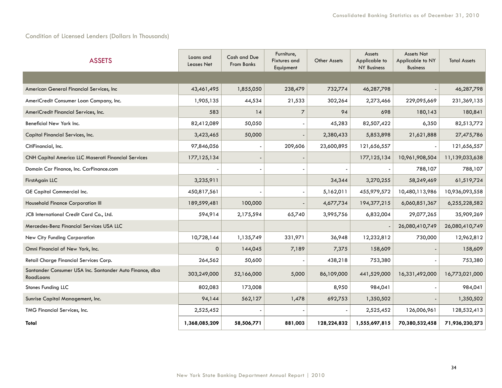Condition of Licensed Lenders (Dollars In Thousands)

| <b>ASSETS</b>                                                        | Loans and<br><b>Leases Net</b> | Cash and Due<br><b>From Banks</b> | Furniture,<br><b>Fixtures</b> and<br>Equipment | Other Assets | Assets<br>Applicable to<br><b>NY Business</b> | <b>Assets Not</b><br>Applicable to NY<br><b>Business</b> | <b>Total Assets</b> |
|----------------------------------------------------------------------|--------------------------------|-----------------------------------|------------------------------------------------|--------------|-----------------------------------------------|----------------------------------------------------------|---------------------|
|                                                                      |                                |                                   |                                                |              |                                               |                                                          |                     |
| American General Financial Services, Inc.                            | 43,461,495                     | 1,855,050                         | 238,479                                        | 732,774      | 46,287,798                                    |                                                          | 46,287,798          |
| AmeriCredit Consumer Loan Company, Inc.                              | 1,905,135                      | 44,534                            | 21,533                                         | 302,264      | 2,273,466                                     | 229,095,669                                              | 231,369,135         |
| AmeriCredit Financial Services, Inc.                                 | 583                            | 14                                | $\overline{7}$                                 | 94           | 698                                           | 180,143                                                  | 180,841             |
| Beneficial New York Inc.                                             | 82,412,089                     | 50,050                            |                                                | 45,283       | 82,507,422                                    | 6,350                                                    | 82,513,772          |
| Capital Financial Services, Inc.                                     | 3,423,465                      | 50,000                            |                                                | 2,380,433    | 5,853,898                                     | 21,621,888                                               | 27,475,786          |
| CitiFinancial, Inc.                                                  | 97,846,056                     |                                   | 209,606                                        | 23,600,895   | 121,656,557                                   |                                                          | 121,656,557         |
| <b>CNH Capital America LLC Maserati Financial Services</b>           | 177, 125, 134                  |                                   |                                                |              | 177, 125, 134                                 | 10,961,908,504                                           | 11,139,033,638      |
| Domain Car Finance, Inc. CarFinance.com                              |                                |                                   |                                                |              |                                               | 788,107                                                  | 788,107             |
| FirstAgain LLC                                                       | 3,235,911                      |                                   |                                                | 34,344       | 3,270,255                                     | 58,249,469                                               | 61,519,724          |
| GE Capital Commercial Inc.                                           | 450,817,561                    |                                   |                                                | 5,162,011    | 455,979,572                                   | 10,480,113,986                                           | 10,936,093,558      |
| <b>Household Finance Corporation III</b>                             | 189,599,481                    | 100,000                           |                                                | 4,677,734    | 194, 377, 215                                 | 6,060,851,367                                            | 6,255,228,582       |
| JCB International Credit Card Co., Ltd.                              | 594,914                        | 2,175,594                         | 65,740                                         | 3,995,756    | 6,832,004                                     | 29,077,265                                               | 35,909,269          |
| Mercedes-Benz Financial Services USA LLC                             |                                |                                   |                                                |              |                                               | 26,080,410,749                                           | 26,080,410,749      |
| New City Funding Corporation                                         | 10,728,144                     | 1,135,749                         | 331,971                                        | 36,948       | 12,232,812                                    | 730,000                                                  | 12,962,812          |
| Omni Financial of New York, Inc.                                     | $\mathbf 0$                    | 144,045                           | 7,189                                          | 7,375        | 158,609                                       |                                                          | 158,609             |
| Retail Charge Financial Services Corp.                               | 264,562                        | 50,600                            |                                                | 438,218      | 753,380                                       |                                                          | 753,380             |
| Santander Consumer USA Inc. Santander Auto Finance, dba<br>RoadLoans | 303,249,000                    | 52,166,000                        | 5,000                                          | 86,109,000   | 441,529,000                                   | 16,331,492,000                                           | 16,773,021,000      |
| <b>Stones Funding LLC</b>                                            | 802,083                        | 173,008                           |                                                | 8,950        | 984,041                                       |                                                          | 984,041             |
| Sunrise Capital Management, Inc.                                     | 94,144                         | 562,127                           | 1,478                                          | 692,753      | 1,350,502                                     |                                                          | 1,350,502           |
| TMG Financial Services, Inc.                                         | 2,525,452                      |                                   |                                                |              | 2,525,452                                     | 126,006,961                                              | 128,532,413         |
| Total                                                                | 1,368,085,209                  | 58,506,771                        | 881,003                                        | 128,224,832  | 1,555,697,815                                 | 70,380,532,458                                           | 71,936,230,273      |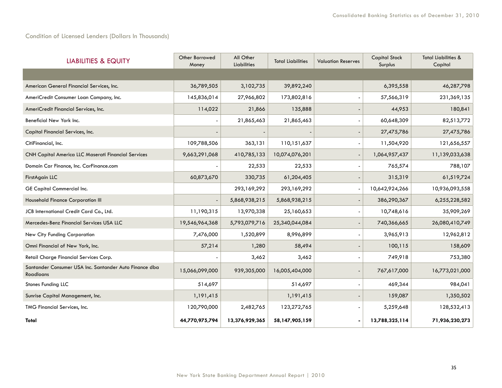## Condition of Licensed Lenders (Dollars In Thousands)

| <b>LIABILITIES &amp; EQUITY</b>                                            | Other Borrowed<br>Money | All Other<br><b>Liabilities</b> | <b>Total Liabilities</b> | <b>Valuation Reserves</b> | <b>Capital Stock</b><br>Surplus | <b>Total Liabilities &amp;</b><br>Capital |
|----------------------------------------------------------------------------|-------------------------|---------------------------------|--------------------------|---------------------------|---------------------------------|-------------------------------------------|
|                                                                            |                         |                                 |                          |                           |                                 |                                           |
| American General Financial Services, Inc.                                  | 36,789,505              | 3,102,735                       | 39,892,240               |                           | 6,395,558                       | 46,287,798                                |
| AmeriCredit Consumer Loan Company, Inc.                                    | 145,836,014             | 27,966,802                      | 173,802,816              |                           | 57,566,319                      | 231, 369, 135                             |
| AmeriCredit Financial Services, Inc.                                       | 114,022                 | 21,866                          | 135,888                  |                           | 44,953                          | 180,841                                   |
| Beneficial New York Inc.                                                   |                         | 21,865,463                      | 21,865,463               |                           | 60,648,309                      | 82,513,772                                |
| Capital Financial Services, Inc.                                           |                         |                                 |                          |                           | 27,475,786                      | 27,475,786                                |
| CitiFinancial, Inc.                                                        | 109,788,506             | 363,131                         | 110,151,637              |                           | 11,504,920                      | 121,656,557                               |
| CNH Capital America LLC Maserati Financial Services                        | 9,663,291,068           | 410,785,133                     | 10,074,076,201           |                           | 1,064,957,437                   | 11,139,033,638                            |
| Domain Car Finance, Inc. CarFinance.com                                    |                         | 22,533                          | 22,533                   |                           | 765,574                         | 788,107                                   |
| FirstAgain LLC                                                             | 60,873,670              | 330,735                         | 61,204,405               |                           | 315,319                         | 61,519,724                                |
| GE Capital Commercial Inc.                                                 |                         | 293,169,292                     | 293,169,292              |                           | 10,642,924,266                  | 10,936,093,558                            |
| Household Finance Corporation III                                          |                         | 5,868,938,215                   | 5,868,938,215            |                           | 386,290,367                     | 6,255,228,582                             |
| JCB International Credit Card Co., Ltd.                                    | 11,190,315              | 13,970,338                      | 25,160,653               |                           | 10,748,616                      | 35,909,269                                |
| Mercedes-Benz Financial Services USA LLC                                   | 19,546,964,368          | 5,793,079,716                   | 25,340,044,084           |                           | 740,366,665                     | 26,080,410,749                            |
| New City Funding Corporation                                               | 7,476,000               | 1,520,899                       | 8,996,899                |                           | 3,965,913                       | 12,962,812                                |
| Omni Financial of New York, Inc.                                           | 57,214                  | 1,280                           | 58,494                   |                           | 100,115                         | 158,609                                   |
| Retail Charge Financial Services Corp.                                     |                         | 3,462                           | 3,462                    |                           | 749,918                         | 753,380                                   |
| Santander Consumer USA Inc. Santander Auto Finance dba<br><b>Roadloans</b> | 15,066,099,000          | 939,305,000                     | 16,005,404,000           |                           | 767,617,000                     | 16,773,021,000                            |
| Stones Funding LLC                                                         | 514,697                 |                                 | 514,697                  |                           | 469,344                         | 984,041                                   |
| Sunrise Capital Management, Inc.                                           | 1,191,415               |                                 | 1,191,415                |                           | 159,087                         | 1,350,502                                 |
| TMG Financial Services, Inc.                                               | 120,790,000             | 2,482,765                       | 123,272,765              |                           | 5,259,648                       | 128,532,413                               |
| Total                                                                      | 44,770,975,794          | 13,376,929,365                  | 58,147,905,159           |                           | 13,788,325,114                  | 71,936,230,273                            |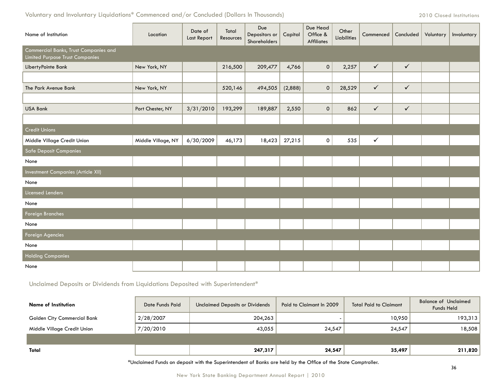## Voluntary and Involuntary Liquidations\* Commenced and/or Concluded (Dollars In Thousands)

| Name of Institution                                                      | Location           | Date of<br>Last Report | Total<br>Resources | Due<br>Depositors or<br>Shareholders | Capital         | Due Head<br>Office &<br><b>Affiliates</b> | Other<br>Liabilities | Commenced    | Concluded    | Voluntary | Involuntary |
|--------------------------------------------------------------------------|--------------------|------------------------|--------------------|--------------------------------------|-----------------|-------------------------------------------|----------------------|--------------|--------------|-----------|-------------|
| Commercial Banks, Trust Companies and<br>Limited Purpose Trust Companies |                    |                        |                    |                                      |                 |                                           |                      |              |              |           |             |
| LibertyPointe Bank                                                       | New York, NY       |                        | 216,500            | 209,477                              | 4,766           | $\mathsf{O}\xspace$                       | 2,257                | $\checkmark$ | $\checkmark$ |           |             |
|                                                                          |                    |                        |                    |                                      |                 |                                           |                      |              |              |           |             |
| The Park Avenue Bank                                                     | New York, NY       |                        | 520,146            | 494,505                              | (2,888)         | $\mathsf{O}\xspace$                       | 28,529               | $\checkmark$ | $\checkmark$ |           |             |
|                                                                          |                    |                        |                    |                                      |                 |                                           |                      |              |              |           |             |
| <b>USA Bank</b>                                                          | Port Chester, NY   | 3/31/2010              | 193,299            | 189,887                              | 2,550           | $\mathsf{O}\xspace$                       | 862                  | $\checkmark$ | $\checkmark$ |           |             |
|                                                                          |                    |                        |                    |                                      |                 |                                           |                      |              |              |           |             |
| <b>Credit Unions</b>                                                     |                    |                        |                    |                                      |                 |                                           |                      |              |              |           |             |
| Middle Village Credit Union                                              | Middle Village, NY | 6/30/2009              | 46,173             |                                      | $18,423$ 27,215 | $\mathsf{O}\xspace$                       | 535                  | $\checkmark$ |              |           |             |
| <b>Safe Deposit Companies</b>                                            |                    |                        |                    |                                      |                 |                                           |                      |              |              |           |             |
| None                                                                     |                    |                        |                    |                                      |                 |                                           |                      |              |              |           |             |
| Investment Companies (Article XII)                                       |                    |                        |                    |                                      |                 |                                           |                      |              |              |           |             |
| None                                                                     |                    |                        |                    |                                      |                 |                                           |                      |              |              |           |             |
| Licensed Lenders                                                         |                    |                        |                    |                                      |                 |                                           |                      |              |              |           |             |
| None                                                                     |                    |                        |                    |                                      |                 |                                           |                      |              |              |           |             |
| Foreign Branches                                                         |                    |                        |                    |                                      |                 |                                           |                      |              |              |           |             |
| None                                                                     |                    |                        |                    |                                      |                 |                                           |                      |              |              |           |             |
| Foreign Agencies                                                         |                    |                        |                    |                                      |                 |                                           |                      |              |              |           |             |
| None                                                                     |                    |                        |                    |                                      |                 |                                           |                      |              |              |           |             |
| <b>Holding Companies</b>                                                 |                    |                        |                    |                                      |                 |                                           |                      |              |              |           |             |
| None                                                                     |                    |                        |                    |                                      |                 |                                           |                      |              |              |           |             |

Unclaimed Deposits or Dividends from Liquidations Deposited with Superintendent\*

| Name of Institution         | Date Funds Paid | Unclaimed Deposits or Dividends | Paid to Claimant In 2009 | <b>Total Paid to Claimant</b> | <b>Balance of Unclaimed</b><br><b>Funds Held</b> |
|-----------------------------|-----------------|---------------------------------|--------------------------|-------------------------------|--------------------------------------------------|
| Golden City Commercial Bank | 2/28/2007       | 204,263                         |                          | 10.950                        | 193,313                                          |
| Middle Village Credit Union | 7/20/2010       | 43,055                          | 24,547                   | 24,547                        | 18,508                                           |
|                             |                 |                                 |                          |                               |                                                  |
| Total                       |                 | 247,317                         | 24,547                   | 35,497                        | 211,820                                          |

\*Unclaimed Funds on deposit with the Superintendent of Banks are held by the Office of the State Comptroller.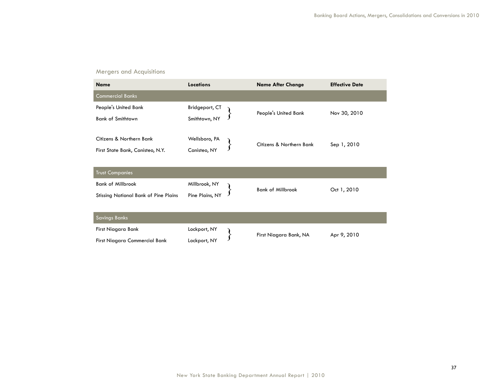## Mergers and Acquisitions

| <b>Name</b>                                                  | <b>Locations</b>              | <b>Name After Change</b> | <b>Effective Date</b> |
|--------------------------------------------------------------|-------------------------------|--------------------------|-----------------------|
| <b>Commercial Banks</b>                                      |                               |                          |                       |
| People's United Bank                                         | Bridgeport, CT                | People's United Bank     | Nov 30, 2010          |
| <b>Bank of Smithtown</b>                                     | Smithtown, NY                 |                          |                       |
| Citizens & Northern Bank<br>First State Bank, Canisteo, N.Y. | Wellsboro, PA<br>Canisteo, NY | Citizens & Northern Bank | Sep 1, 2010           |
| <b>Trust Companies</b>                                       |                               |                          |                       |
| <b>Bank of Millbrook</b>                                     | Millbrook, NY                 | <b>Bank of Millbrook</b> | Oct 1, 2010           |
| <b>Stissing National Bank of Pine Plains</b>                 | Pine Plains, NY               |                          |                       |
|                                                              |                               |                          |                       |
| <b>Savings Banks</b>                                         |                               |                          |                       |
| First Niagara Bank                                           | Lockport, NY                  | First Niagara Bank, NA   | Apr 9, 2010           |
| First Niagara Commercial Bank                                | Lockport, NY                  |                          |                       |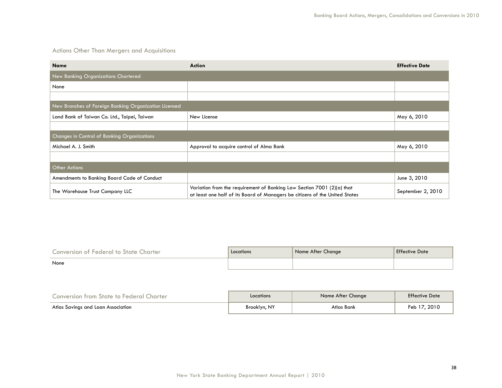## Actions Other Than Mergers and Acquisitions

| <b>Name</b>                                           | <b>Action</b>                                                                                                                                         | <b>Effective Date</b> |
|-------------------------------------------------------|-------------------------------------------------------------------------------------------------------------------------------------------------------|-----------------------|
| New Banking Organizations Chartered                   |                                                                                                                                                       |                       |
| None                                                  |                                                                                                                                                       |                       |
|                                                       |                                                                                                                                                       |                       |
| New Branches of Foreign Banking Organization Licensed |                                                                                                                                                       |                       |
| Land Bank of Taiwan Co. Ltd., Taipei, Taiwan          | New License                                                                                                                                           | May 6, 2010           |
|                                                       |                                                                                                                                                       |                       |
| Changes in Control of Banking Organizations           |                                                                                                                                                       |                       |
| Michael A. J. Smith                                   | Approval to acquire control of Alma Bank                                                                                                              | May 6, 2010           |
|                                                       |                                                                                                                                                       |                       |
| <b>Other Actions</b>                                  |                                                                                                                                                       |                       |
| Amendments to Banking Board Code of Conduct           |                                                                                                                                                       | June 3, 2010          |
| The Warehouse Trust Company LLC                       | Variation from the requirement of Banking Law Section 7001 (2)(a) that<br>at least one half of its Board of Managers be citizens of the United States | September 2, 2010     |

| Conversion of Federal to State Charter | Locations | Name After Change | <b>Effective Date</b> |
|----------------------------------------|-----------|-------------------|-----------------------|
| None                                   |           |                   |                       |

| Conversion from State to Federal Charter | Locations    | Name After Change | <b>Effective Date</b> |
|------------------------------------------|--------------|-------------------|-----------------------|
| Atlas Savings and Loan Association       | Brooklyn, NY | Atlas Bank        | Feb 17, 2010          |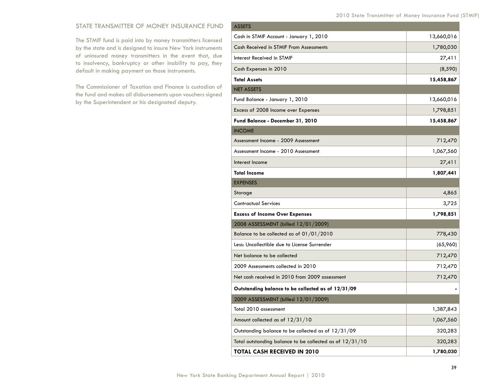## STATE TRANSMITTER OF MONEY INSURANCE FUND

The STMIF fund is paid into by money transmitters licensed by the state and is designed to insure New York instruments of uninsured money transmitters in the event that, due to insolvency, bankruptcy or other inability to pay, they default in making payment on those instruments.

The Commissioner of Taxation and Finance is custodian of the fund and makes all disbursements upon vouchers signed by the Superintendent or his designated deputy.

| <b>ASSETS</b>                                            |            |
|----------------------------------------------------------|------------|
| Cash in STMIF Account - January 1, 2010                  | 13,660,016 |
| Cash Received in STMIF From Assessments                  | 1,780,030  |
| Interest Received in STMIF                               | 27,411     |
| Cash Expenses in 2010                                    | (8, 590)   |
| <b>Total Assets</b>                                      | 15,458,867 |
| <b>NET ASSETS</b>                                        |            |
| Fund Balance - January 1, 2010                           | 13,660,016 |
| Excess of 2008 Income over Expenses                      | 1,798,851  |
| <b>Fund Balance - December 31, 2010</b>                  | 15,458,867 |
| <b>INCOME</b>                                            |            |
| Assessment Income - 2009 Assessment                      | 712,470    |
| Assessment Income - 2010 Assessment                      | 1,067,560  |
| Interest Income                                          | 27,411     |
| <b>Total Income</b>                                      | 1,807,441  |
| <b>EXPENSES</b>                                          |            |
| Storage                                                  | 4,865      |
| <b>Contractual Services</b>                              | 3,725      |
| <b>Excess of Income Over Expenses</b>                    | 1,798,851  |
| 2008 ASSESSMENT (billed 12/01/2009)                      |            |
| Balance to be collected as of 01/01/2010                 | 778,430    |
| Less: Uncollectible due to License Surrender             | (65,960)   |
| Net balance to be collected                              | 712,470    |
| 2009 Assessments collected in 2010                       | 712,470    |
| Net cash received in 2010 from 2009 assessment           | 712,470    |
| Outstanding balance to be collected as of 12/31/09       |            |
| 2009 ASSESSMENT (billed 12/01/2009)                      |            |
| Total 2010 assessment                                    | 1,387,843  |
| Amount collected as of 12/31/10                          | 1,067,560  |
| Outstanding balance to be collected as of 12/31/09       | 320,283    |
| Total outstanding balance to be collected as of 12/31/10 | 320,283    |
| TOTAL CASH RECEIVED IN 2010                              | 1,780,030  |
|                                                          |            |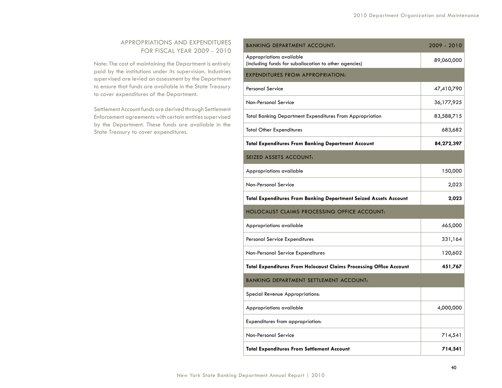## APPROPRIATIONS AND EXPENDITURES FOR FISCAL YEAR 2009 - 2010

Note: The cost of maintaining the Department is entirely paid by the institutions under its supervision. Industries supervised are levied an assessment by the Department to ensure that funds are available in the State Treasury to cover expenditures of the Department.

Settlement Account funds are derived through Settlement Enforcement agreements with certain entities supervised by the Department. These funds are available in the State Treasury to cover expenditures.

| BANKING DEPARTMENT ACCOUNT:                                                       | 2009 - 2010 |
|-----------------------------------------------------------------------------------|-------------|
| Appropriations available<br>(including funds for suballocation to other agencies) | 89,060,000  |
| EXPENDITURES FROM APPROPRIATION:                                                  |             |
| <b>Personal Service</b>                                                           | 47,410,790  |
| <b>Non-Personal Service</b>                                                       | 36,177,925  |
| <b>Total Banking Department Expenditures From Appropriation</b>                   | 83,588,715  |
| <b>Total Other Expenditures</b>                                                   | 683,682     |
| <b>Total Expenditures From Banking Department Account</b>                         | 84,272,397  |
| SEIZED ASSETS ACCOUNT:                                                            |             |
| Appropriations available                                                          | 150,000     |
| <b>Non-Personal Service</b>                                                       | 2,023       |
| <b>Total Expenditures From Banking Department Seized Assets Account</b>           | 2,023       |
| <b>HOLOCAUST CLAIMS PROCESSING OFFICE ACCOUNT:</b>                                |             |
| Appropriations available                                                          | 465,000     |
| Personal Service Expenditures                                                     | 331,164     |
| Non-Personal Service Expenditures                                                 | 120,602     |
| <b>Total Expenditures From Holocaust Claims Processing Office Account</b>         | 451,767     |
| BANKING DEPARTMENT SETTLEMENT ACCOUNT:                                            |             |
| Special Revenue Appropriations:                                                   |             |
| Appropriations available                                                          | 4,000,000   |
| Expenditures from appropriation:                                                  |             |
| Non-Personal Service                                                              | 714,541     |
| <b>Total Expenditures From Settlement Account</b>                                 | 714,541     |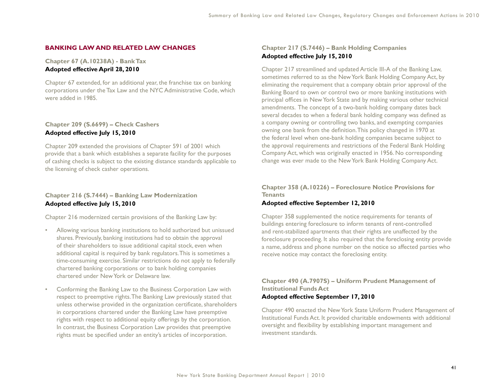#### **BANKING LAW AND RELATED LAW CHANGES**

**Chapter 67 (A.10238A) - Bank Tax Adopted effective April 28, 2010**

Chapter 67 extended, for an additional year, the franchise tax on banking corporations under the Tax Law and the NYC Administrative Code, which were added in 1985.

#### **Chapter 209 (S.6699) – Check Cashers Adopted effective July 15, 2010**

Chapter 209 extended the provisions of Chapter 591 of 2001 which provide that a bank which establishes a separate facility for the purposes of cashing checks is subject to the existing distance standards applicable to the licensing of check casher operations.

#### **Chapter 216 (S.7444) – Banking Law Modernization Adopted effective July 15, 2010**

Chapter 216 modernized certain provisions of the Banking Law by:

- Allowing various banking institutions to hold authorized but unissued shares. Previously, banking institutions had to obtain the approval of their shareholders to issue additional capital stock, even when additional capital is required by bank regulators. This is sometimes a time-consuming exercise. Similar restrictions do not apply to federally chartered banking corporations or to bank holding companies chartered under New York or Delaware law.
- Conforming the Banking Law to the Business Corporation Law with respect to preemptive rights. The Banking Law previously stated that unless otherwise provided in the organization certificate, shareholders in corporations chartered under the Banking Law have preemptive rights with respect to additional equity offerings by the corporation. In contrast, the Business Corporation Law provides that preemptive rights must be specified under an entity's articles of incorporation.

#### **Chapter 217 (S.7446) – Bank Holding Companies Adopted effective July 15, 2010**

Chapter 217 streamlined and updated Article III-A of the Banking Law, sometimes referred to as the New York Bank Holding Company Act, by eliminating the requirement that a company obtain prior approval of the Banking Board to own or control two or more banking institutions with principal offices in New York State and by making various other technical amendments. The concept of a two-bank holding company dates back several decades to when a federal bank holding company was defined as a company owning or controlling two banks, and exempting companies owning one bank from the definition. This policy changed in 1970 at the federal level when one-bank holding companies became subject to the approval requirements and restrictions of the Federal Bank Holding Company Act, which was originally enacted in 1956. No corresponding change was ever made to the New York Bank Holding Company Act.

## **Chapter 358 (A.10226) – Foreclosure Notice Provisions for Tenants**

#### **Adopted effective September 12, 2010**

Chapter 358 supplemented the notice requirements for tenants of buildings entering foreclosure to inform tenants of rent-controlled and rent-stabilized apartments that their rights are unaffected by the foreclosure proceeding. It also required that the foreclosing entity provide a name, address and phone number on the notice so affected parties who receive notice may contact the foreclosing entity.

#### **Chapter 490 (A.7907S) – Uniform Prudent Management of Institutional Funds Act Adopted effective September 17, 2010**

Chapter 490 enacted the New York State Uniform Prudent Management of Institutional Funds Act. It provided charitable endowments with additional oversight and flexibility by establishing important management and investment standards.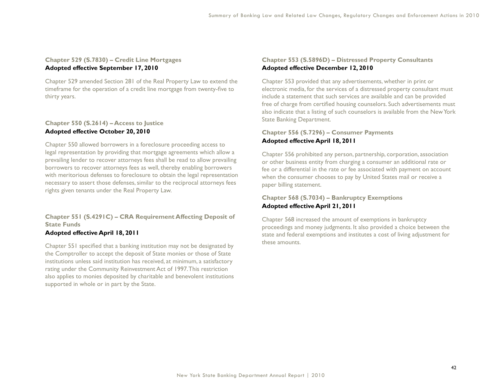#### **Chapter 529 (S.7830) – Credit Line Mortgages Adopted effective September 17, 2010**

Chapter 529 amended Section 281 of the Real Property Law to extend the timeframe for the operation of a credit line mortgage from twenty-five to thirty years.

#### **Chapter 550 (S.2614) – Access to Justice Adopted effective October 20, 2010**

Chapter 550 allowed borrowers in a foreclosure proceeding access to legal representation by providing that mortgage agreements which allow a prevailing lender to recover attorneys fees shall be read to allow prevailing borrowers to recover attorneys fees as well, thereby enabling borrowers with meritorious defenses to foreclosure to obtain the legal representation necessary to assert those defenses, similar to the reciprocal attorneys fees rights given tenants under the Real Property Law.

**Chapter 551 (S.4291C) – CRA Requirement Affecting Deposit of State Funds**

## **Adopted effective April 18, 2011**

Chapter 551 specified that a banking institution may not be designated by the Comptroller to accept the deposit of State monies or those of State institutions unless said institution has received, at minimum, a satisfactory rating under the Community Reinvestment Act of 1997. This restriction also applies to monies deposited by charitable and benevolent institutions supported in whole or in part by the State.

## **Chapter 553 (S.5896D) – Distressed Property Consultants Adopted effective December 12, 2010**

Chapter 553 provided that any advertisements, whether in print or electronic media, for the services of a distressed property consultant must include a statement that such services are available and can be provided free of charge from certified housing counselors. Such advertisements must also indicate that a listing of such counselors is available from the New York State Banking Department.

## **Chapter 556 (S.7296) – Consumer Payments Adopted effective April 18, 2011**

Chapter 556 prohibited any person, partnership, corporation, association or other business entity from charging a consumer an additional rate or fee or a differential in the rate or fee associated with payment on account when the consumer chooses to pay by United States mail or receive a paper billing statement.

## **Chapter 568 (S.7034) – Bankruptcy Exemptions Adopted effective April 21, 2011**

Chapter 568 increased the amount of exemptions in bankruptcy proceedings and money judgments. It also provided a choice between the state and federal exemptions and institutes a cost of living adjustment for these amounts.